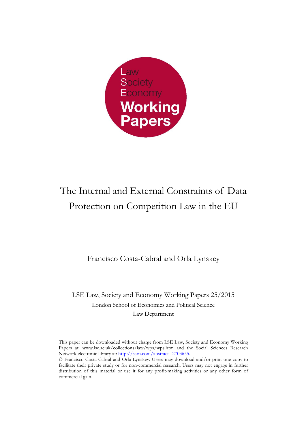

# The Internal and External Constraints of Data Protection on Competition Law in the EU

Francisco Costa-Cabral and Orla Lynskey

LSE Law, Society and Economy Working Papers 25/2015 London School of Economics and Political Science Law Department

This paper can be downloaded without charge from LSE Law, Society and Economy Working Papers at: www.lse.ac.uk/collections/law/wps/wps.htm and the Social Sciences Research Network electronic library at: http://ssrn.com/abstract=2703655.

© Francisco Costa-Cabral and Orla Lynskey. Users may download and/or print one copy to facilitate their private study or for non-commercial research. Users may not engage in further distribution of this material or use it for any profit-making activities or any other form of commercial gain.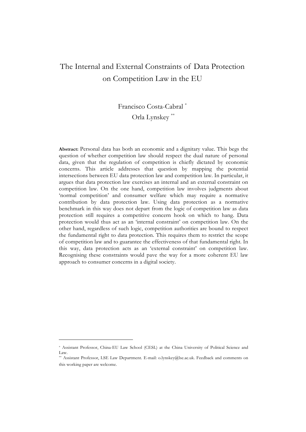# The Internal and External Constraints of Data Protection on Competition Law in the EU

# Francisco Costa-Cabral \* Orla Lynskey \*\*

**Abstract:** Personal data has both an economic and a dignitary value. This begs the question of whether competition law should respect the dual nature of personal data, given that the regulation of competition is chiefly dictated by economic concerns. This article addresses that question by mapping the potential intersections between EU data protection law and competition law. In particular, it argues that data protection law exercises an internal and an external constraint on competition law. On the one hand, competition law involves judgments about 'normal competition' and consumer welfare which may require a normative contribution by data protection law. Using data protection as a normative benchmark in this way does not depart from the logic of competition law as data protection still requires a competitive concern hook on which to hang. Data protection would thus act as an 'internal constraint' on competition law. On the other hand, regardless of such logic, competition authorities are bound to respect the fundamental right to data protection. This requires them to restrict the scope of competition law and to guarantee the effectiveness of that fundamental right. In this way, data protection acts as an 'external constraint' on competition law. Recognising these constraints would pave the way for a more coherent EU law approach to consumer concerns in a digital society.

<sup>\*</sup> Assistant Professor, China-EU Law School (CESL) at the China University of Political Science and Law.

<sup>\*\*</sup> Assistant Professor, LSE Law Department. E-mail: o.lynskey@lse.ac.uk. Feedback and comments on this working paper are welcome.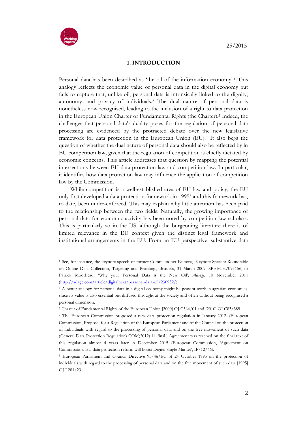

**.** 

#### **1. INTRODUCTION**

Personal data has been described as 'the oil of the information economy'.1 This analogy reflects the economic value of personal data in the digital economy but fails to capture that, unlike oil, personal data is intrinsically linked to the dignity, autonomy, and privacy of individuals.2 The dual nature of personal data is nonetheless now recognised, leading to the inclusion of a right to data protection in the European Union Charter of Fundamental Rights (the Charter).3 Indeed, the challenges that personal data's duality poses for the regulation of personal data processing are evidenced by the protracted debate over the new legislative framework for data protection in the European Union (EU).4 It also begs the question of whether the dual nature of personal data should also be reflected by in EU competition law, given that the regulation of competition is chiefly dictated by economic concerns. This article addresses that question by mapping the potential intersections between EU data protection law and competition law. In particular, it identifies how data protection law may influence the application of competition law by the Commission.

While competition is a well-established area of EU law and policy, the EU only first developed a data protection framework in 19955 and this framework has, to date, been under-enforced. This may explain why little attention has been paid to the relationship between the two fields. Naturally, the growing importance of personal data for economic activity has been noted by competition law scholars. This is particularly so in the US, although the burgeoning literature there is of limited relevance in the EU context given the distinct legal framework and institutional arrangements in the EU. From an EU perspective, substantive data

<sup>1</sup> See, for instance, the keynote speech of former Commissioner Kuneva, 'Keynote Speech: Roundtable on Online Data Collection, Targeting and Profiling', Brussels, 31 March 2009, SPEECH/09/156, or Patrick Moorhead, 'Why your Personal Data is the New Oil', *AdAge*, 10 November 2011 (http://adage.com/article/digitalnext/personal-data-oil/230932/).

<sup>2</sup> A better analogy for personal data in a digital economy might be peasant work in agrarian economies, since its value is also essential but diffused throughout the society and often without being recognised a personal dimension.

<sup>3</sup> Charter of Fundamental Rights of the European Union [2000] OJ C364/01 and [2010] OJ C83/389.

<sup>4</sup> The European Commission proposed a new data protection regulation in January 2012. (European Commission, Proposal for a Regulation of the European Parliament and of the Council on the protection of individuals with regard to the processing of personal data and on the free movement of such data (General Data Protection Regulation) COM(2012) 11 final.) Agreement was reached on the final text of this regulation almost 4 years later in December 2015 (European Commission, 'Agreement on Commission's EU data protection reform will boost Digital Single Market', IP/12/46).

<sup>5</sup> European Parliament and Council Directive 95/46/EC of 24 October 1995 on the protection of individuals with regard to the processing of personal data and on the free movement of such data [1995] OJ L281/23.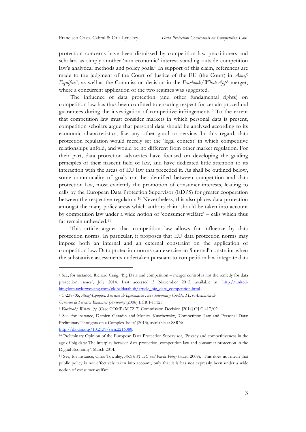protection concerns have been dismissed by competition law practitioners and scholars as simply another 'non-economic' interest standing outside competition law's analytical methods and policy goals.<sup>6</sup> In support of this claim, references are made to the judgment of the Court of Justice of the EU (the Court) in *Asnef-Equifax*7, as well as the Commission decision in the *Facebook/WhatsApp*<sup>8</sup> merger, where a concurrent application of the two regimes was suggested.

The influence of data protection (and other fundamental rights) on competition law has thus been confined to ensuring respect for certain procedural guarantees during the investigation of competitive infringements.9 To the extent that competition law must consider markets in which personal data is present, competition scholars argue that personal data should be analysed according to its economic characteristics, like any other good or service. In this regard, data protection regulation would merely set the 'legal context' in which competitive relationships unfold, and would be no different from other market regulation. For their part, data protection advocates have focused on developing the guiding principles of their nascent field of law, and have dedicated little attention to its interaction with the areas of EU law that preceded it. As shall be outlined below, some commonality of goals can be identified between competition and data protection law, most evidently the promotion of consumer interests, leading to calls by the European Data Protection Supervisor (EDPS) for greater cooperation between the respective regulators.10 Nevertheless, this also places data protection amongst the many policy areas which authors claim should be taken into account by competition law under a wide notion of 'consumer welfare' – calls which thus far remain unheeded.11

This article argues that competition law allows for influence by data protection norms. In particular, it proposes that EU data protection norms may impose both an internal and an external constraint on the application of competition law. Data protection norms can exercise an 'internal' constraint when the substantive assessments undertaken pursuant to competition law integrate data

http://dx.doi.org/10.2139/ssrn.2216088.

<sup>6</sup> See, for instance, Richard Craig, 'Big Data and competition – merger control is not the remedy for data protection issues', July 2014. Last accessed 3 November 2015, available at: http://unitedkingdom.taylorwessing.com/globaldatahub/article\_big\_data\_competition.html .

<sup>7</sup> C-238/05, *Asnef-Equifax, Servicios de Información sobre Solvencia y Crédito, SL v Asociación de Usuarios de Servicios Bancarios (Ausbanc)* [2006] ECR I-11125.

<sup>8</sup> *Facebook/ WhatsApp* (Case COMP/M.7217) Commission Decision [2014] OJ C 417/02.

<sup>9</sup> See, for instance, Damien Geradin and Monica Kuschewsky, 'Competition Law and Personal Data: Preliminary Thoughts on a Complex Issue' (2013), available at SSRN:

<sup>10</sup> Preliminary Opinion of the European Data Protection Supervisor, 'Privacy and competitiveness in the age of big data: The interplay between data protection, competition law and consumer protection in the Digital Economy', March 2014.

<sup>11</sup> See, for instance, Chris Townley, *Article 81 EC and Public Policy* (Hart, 2009). This does not mean that public policy is not effectively taken into account, only that it is has not expressly been under a wide notion of consumer welfare.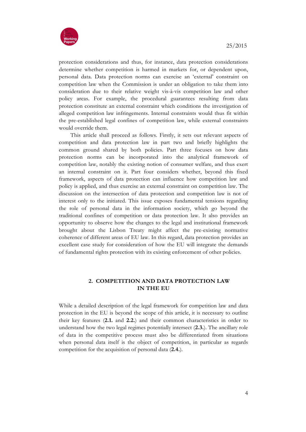

protection considerations and thus, for instance, data protection considerations determine whether competition is harmed in markets for, or dependent upon, personal data. Data protection norms can exercise an 'external' constraint on competition law when the Commission is under an obligation to take them into consideration due to their relative weight vis-à-vis competition law and other policy areas. For example, the procedural guarantees resulting from data protection constitute an external constraint which conditions the investigation of alleged competition law infringements. Internal constraints would thus fit within the pre-established legal confines of competition law, while external constraints would override them.

This article shall proceed as follows. Firstly, it sets out relevant aspects of competition and data protection law in part two and briefly highlights the common ground shared by both policies. Part three focuses on how data protection norms can be incorporated into the analytical framework of competition law, notably the existing notion of consumer welfare, and thus exert an internal constraint on it. Part four considers whether, beyond this fixed framework, aspects of data protection can influence how competition law and policy is applied, and thus exercise an external constraint on competition law. The discussion on the intersection of data protection and competition law is not of interest only to the initiated. This issue exposes fundamental tensions regarding the role of personal data in the information society, which go beyond the traditional confines of competition or data protection law. It also provides an opportunity to observe how the changes to the legal and institutional framework brought about the Lisbon Treaty might affect the pre-existing normative coherence of different areas of EU law. In this regard, data protection provides an excellent case study for consideration of how the EU will integrate the demands of fundamental rights protection with its existing enforcement of other policies.

# **2. COMPETITION AND DATA PROTECTION LAW IN THE EU**

While a detailed description of the legal framework for competition law and data protection in the EU is beyond the scope of this article, it is necessary to outline their key features (**2.1.** and **2.2.**) and their common characteristics in order to understand how the two legal regimes potentially intersect (**2.3.**). The ancillary role of data in the competitive process must also be differentiated from situations when personal data itself is the object of competition, in particular as regards competition for the acquisition of personal data (**2.4.**).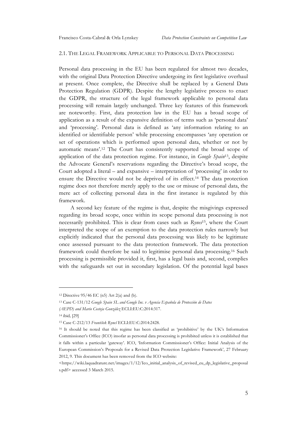#### 2.1. THE LEGAL FRAMEWORK APPLICABLE TO PERSONAL DATA PROCESSING

Personal data processing in the EU has been regulated for almost two decades, with the original Data Protection Directive undergoing its first legislative overhaul at present. Once complete, the Directive shall be replaced by a General Data Protection Regulation (GDPR). Despite the lengthy legislative process to enact the GDPR, the structure of the legal framework applicable to personal data processing will remain largely unchanged. Three key features of this framework are noteworthy. First, data protection law in the EU has a broad scope of application as a result of the expansive definition of terms such as 'personal data' and 'processing'. Personal data is defined as 'any information relating to an identified or identifiable person' while processing encompasses 'any operation or set of operations which is performed upon personal data, whether or not by automatic means'.12 The Court has consistently supported the broad scope of application of the data protection regime. For instance, in *Google Spain*13, despite the Advocate General's reservations regarding the Directive's broad scope, the Court adopted a literal – and expansive – interpretation of 'processing' in order to ensure the Directive would not be deprived of its effect.14 The data protection regime does not therefore merely apply to the use or misuse of personal data, the mere act of collecting personal data in the first instance is regulated by this framework.

A second key feature of the regime is that, despite the misgivings expressed regarding its broad scope, once within its scope personal data processing is not necessarily prohibited. This is clear from cases such as *Rynes*15, where the Court interpreted the scope of an exemption to the data protection rules narrowly but explicitly indicated that the personal data processing was likely to be legitimate once assessed pursuant to the data protection framework. The data protection framework could therefore be said to legitimise personal data processing.16 Such processing is permissible provided it, first, has a legal basis and, second, complies with the safeguards set out in secondary legislation. Of the potential legal bases

<sup>&</sup>lt;sup>12</sup> Directive  $95/46$  EC (n5) Art 2(a) and (b).

<sup>13</sup> Case C-131/12 *Google Spain SL and Google Inc. v Agencia Española de Protección de Datos*

*<sup>(</sup>AEPD) and Mario Costeja González* ECLI:EU:C:2014:317.

<sup>14</sup> ibid*,* [29]

<sup>15</sup> Case C-212/13 *František Ryneš* ECLI:EU:C:2014:2428.

<sup>16</sup> It should be noted that this regime has been classified as 'prohibitive' by the UK's Information Commissioner's Office (ICO) insofar as personal data processing is prohibited unless it is established that it falls within a particular 'gateway'. ICO, 'Information Commissioner's Office: Initial Analysis of the European Commission's Proposals for a Revised Data Protection Legislative Framework', 27 February 2012, 9. This document has been removed from the ICO website:

<sup>&</sup>lt;https://wiki.laquadrature.net/images/1/12/Ico\_initial\_analysis\_of\_revised\_eu\_dp\_legislative\_proposal s.pdf> accessed 3 March 2015.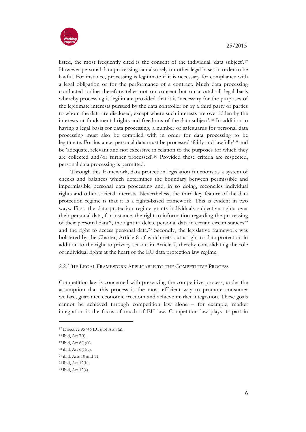



listed, the most frequently cited is the consent of the individual 'data subject'.17 However personal data processing can also rely on other legal bases in order to be lawful. For instance, processing is legitimate if it is necessary for compliance with a legal obligation or for the performance of a contract. Much data processing conducted online therefore relies not on consent but on a catch-all legal basis whereby processing is legitimate provided that it is 'necessary for the purposes of the legitimate interests pursued by the data controller or by a third party or parties to whom the data are disclosed, except where such interests are overridden by the interests or fundamental rights and freedoms of the data subject'.18 In addition to having a legal basis for data processing, a number of safeguards for personal data processing must also be complied with in order for data processing to be legitimate. For instance, personal data must be processed 'fairly and lawfully'19 and be 'adequate, relevant and not excessive in relation to the purposes for which they are collected and/or further processed'.20 Provided these criteria are respected, personal data processing is permitted.

Through this framework, data protection legislation functions as a system of checks and balances which determines the boundary between permissible and impermissible personal data processing and, in so doing, reconciles individual rights and other societal interests. Nevertheless, the third key feature of the data protection regime is that it is a rights-based framework. This is evident in two ways. First, the data protection regime grants individuals subjective rights over their personal data, for instance, the right to information regarding the processing of their personal data<sup>21</sup>, the right to delete personal data in certain circumstances<sup>22</sup> and the right to access personal data.23 Secondly, the legislative framework was bolstered by the Charter, Article 8 of which sets out a right to data protection in addition to the right to privacy set out in Article 7, thereby consolidating the role of individual rights at the heart of the EU data protection law regime.

#### 2.2. THE LEGAL FRAMEWORK APPLICABLE TO THE COMPETITIVE PROCESS

Competition law is concerned with preserving the competitive process, under the assumption that this process is the most efficient way to promote consumer welfare, guarantee economic freedom and achieve market integration. These goals cannot be achieved through competition law alone – for example, market integration is the focus of much of EU law. Competition law plays its part in

<sup>17</sup> Directive 95/46 EC (n5) Art 7(a).

<sup>18</sup> ibid, Art 7(f).

 $19$  ibid, Art  $6(1)(a)$ .

 $20$  ibid, Art  $6(1)(c)$ .

<sup>21</sup> ibid, Arts 10 and 11.

<sup>22</sup> ibid, Art 12(b).

<sup>23</sup> ibid, Art 12(a).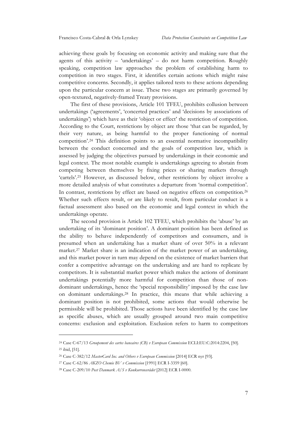achieving these goals by focusing on economic activity and making sure that the agents of this activity – 'undertakings' – do not harm competition. Roughly speaking, competition law approaches the problem of establishing harm to competition in two stages. First, it identifies certain actions which might raise competitive concerns. Secondly, it applies tailored tests to these actions depending upon the particular concern at issue. These two stages are primarily governed by open-textured, negatively-framed Treaty provisions.

The first of these provisions, Article 101 TFEU, prohibits collusion between undertakings ('agreements', 'concerted practices' and 'decisions by associations of undertakings') which have as their 'object or effect' the restriction of competition. According to the Court, restrictions by object are those 'that can be regarded, by their very nature, as being harmful to the proper functioning of normal competition'.24 This definition points to an essential normative incompatibility between the conduct concerned and the goals of competition law, which is assessed by judging the objectives pursued by undertakings in their economic and legal context. The most notable example is undertakings agreeing to abstain from competing between themselves by fixing prices or sharing markets through 'cartels'.25 However, as discussed below, other restrictions by object involve a more detailed analysis of what constitutes a departure from 'normal competition'. In contrast, restrictions by effect are based on negative effects on competition.<sup>26</sup> Whether such effects result, or are likely to result, from particular conduct is a factual assessment also based on the economic and legal context in which the undertakings operate.

The second provision is Article 102 TFEU, which prohibits the 'abuse' by an undertaking of its 'dominant position'. A dominant position has been defined as the ability to behave independently of competitors and consumers, and is presumed when an undertaking has a market share of over 50% in a relevant market.27 Market share is an indication of the market power of an undertaking, and this market power in turn may depend on the existence of market barriers that confer a competitive advantage on the undertaking and are hard to replicate by competitors. It is substantial market power which makes the actions of dominant undertakings potentially more harmful for competition than those of nondominant undertakings, hence the 'special responsibility' imposed by the case law on dominant undertakings.28 In practice, this means that while achieving a dominant position is not prohibited, some actions that would otherwise be permissible will be prohibited. Those actions have been identified by the case law as specific abuses, which are usually grouped around two main competitive concerns: exclusion and exploitation. Exclusion refers to harm to competitors

<sup>24</sup> Case C‑67/13 *Groupement des cartes bancaires (CB) v European Commission* ECLI:EU:C:2014:2204, [50]. <sup>25</sup> ibid, [51].

<sup>26</sup> Case C-382/12 *MasterCard Inc. and Others v European Commission* [2014] ECR nyr [93].

<sup>27</sup> Case C-62/86 *AKZO Chemie BV v Commission* [1991] ECR I-3359 [60].

<sup>28</sup> Case C-209/10 *Post Danmark A/S v Konkurrencerådet* [2012] ECR I-0000.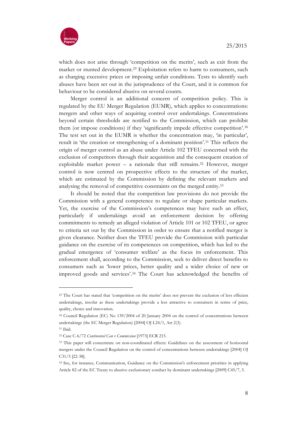

which does not arise through 'competition on the merits', such as exit from the market or stunted development.29 Exploitation refers to harm to consumers, such as charging excessive prices or imposing unfair conditions. Tests to identify such abuses have been set out in the jurisprudence of the Court, and it is common for behaviour to be considered abusive on several counts.

Merger control is an additional concern of competition policy. This is regulated by the EU Merger Regulation (EUMR), which applies to concentrations: mergers and other ways of acquiring control over undertakings. Concentrations beyond certain thresholds are notified to the Commission, which can prohibit them (or impose conditions) if they 'significantly impede effective competition'.30 The test set out in the EUMR is whether the concentration may, 'in particular', result in 'the creation or strengthening of a dominant position'.31 This reflects the origin of merger control as an abuse under Article 102 TFEU concerned with the exclusion of competitors through their acquisition and the consequent creation of exploitable market power – a rationale that still remains.<sup>32</sup> However, merger control is now centred on prospective effects to the structure of the market, which are estimated by the Commission by defining the relevant markets and analysing the removal of competitive constraints on the merged entity.33

It should be noted that the competition law provisions do not provide the Commission with a general competence to regulate or shape particular markets. Yet, the exercise of the Commission's competences may have such an effect, particularly if undertakings avoid an enforcement decision by offering commitments to remedy an alleged violation of Article 101 or 102 TFEU, or agree to criteria set out by the Commission in order to ensure that a notified merger is given clearance. Neither does the TFEU provide the Commission with particular guidance on the exercise of its competences on competition, which has led to the gradual emergence of 'consumer welfare' as the focus its enforcement. This enforcement shall, according to the Commission, seek to deliver direct benefits to consumers such as 'lower prices, better quality and a wider choice of new or improved goods and services'.34 The Court has acknowledged the benefits of

<sup>29</sup> The Court has stated that 'competition on the merits' does not prevent the exclusion of less efficient undertakings, insofar as these undertakings provide a less attractive to consumers in terms of price, quality, choice and innovation.

<sup>30</sup> Council Regulation (EC) No 139/2004 of 20 January 2004 on the control of concentrations between undertakings (the EC Merger Regulation) [2004] OJ L24/1, Art 2(3).

<sup>31</sup> Ibid*.* 

<sup>32</sup> Case C-6/72 *Continental Can v Commission* [1973] ECR 215.

<sup>&</sup>lt;sup>33</sup> This paper will concentrate on non-coordinated effects: Guidelines on the assessment of horizontal mergers under the Council Regulation on the control of concentrations between undertakings [2004] OJ C31/5 [22-38].

<sup>34</sup> See, for instance, Communication, Guidance on the Commission's enforcement priorities in applying Article 82 of the EC Treaty to abusive exclusionary conduct by dominant undertakings [2009] C45/7, 5.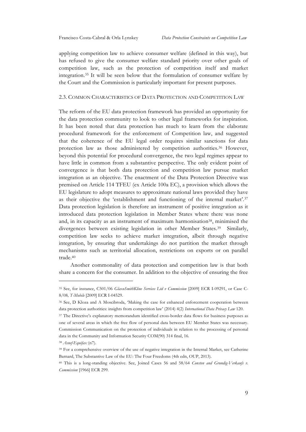applying competition law to achieve consumer welfare (defined in this way), but has refused to give the consumer welfare standard priority over other goals of competition law, such as the protection of competition itself and market integration.35 It will be seen below that the formulation of consumer welfare by the Court and the Commission is particularly important for present purposes.

#### 2.3. COMMON CHARACTERISTICS OF DATA PROTECTION AND COMPETITION LAW

The reform of the EU data protection framework has provided an opportunity for the data protection community to look to other legal frameworks for inspiration. It has been noted that data protection has much to learn from the elaborate procedural framework for the enforcement of Competition law, and suggested that the coherence of the EU legal order requires similar sanctions for data protection law as those administered by competition authorities.<sup>36</sup> However, beyond this potential for procedural convergence, the two legal regimes appear to have little in common from a substantive perspective. The only evident point of convergence is that both data protection and competition law pursue market integration as an objective. The enactment of the Data Protection Directive was premised on Article 114 TFEU (ex Article 100a EC), a provision which allows the EU legislature to adopt measures to approximate national laws provided they have as their objective the 'establishment and functioning of the internal market'.37 Data protection legislation is therefore an instrument of positive integration as it introduced data protection legislation in Member States where there was none and, in its capacity as an instrument of maximum harmonisation38, minimised the divergences between existing legislation in other Member States.39 Similarly, competition law seeks to achieve market integration, albeit through negative integration, by ensuring that undertakings do not partition the market through mechanisms such as territorial allocation, restrictions on exports or on parallel trade.40

Another commonality of data protection and competition law is that both share a concern for the consumer. In addition to the objective of ensuring the free

-

<sup>35</sup> See, for instance, C501/06 *GlaxoSmithKline Services Ltd v Commission* [2009] ECR I-09291, or Case C-8/08*, T-Mobile* [2009] ECR I-04529.

<sup>36</sup> See, D Kloza and A Moscibroda, 'Making the case for enhanced enforcement cooperation between data protection authorities: insights from competition law' (2014) 4(2) *International Data Privacy Law* 120.

<sup>&</sup>lt;sup>37</sup> The Directive's explanatory memorandum identified cross-border data flows for business purposes as one of several areas in which the free flow of personal data between EU Member States was necessary. Commission Communication on the protection of individuals in relation to the processing of personal data in the Community and Information Security COM(90) 314 final, 16.

<sup>38</sup> *Asnef-Equifax* (n7).

<sup>39</sup> For a comprehensive overview of the use of negative integration in the Internal Market, see Catherine Barnard, The Substantive Law of the EU: The Four Freedoms (4th edn, OUP, 2013).

<sup>40</sup> This is a long-standing objective. See, Joined Cases 56 and 58/64 *Consten and Grundig-Verkaufs v. Commission* [1966] ECR 299.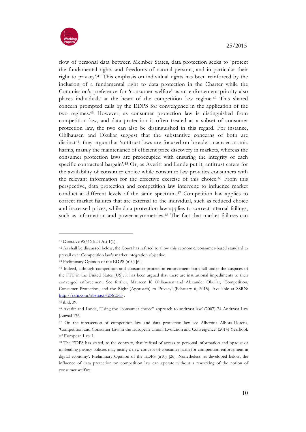

flow of personal data between Member States, data protection seeks to 'protect the fundamental rights and freedoms of natural persons, and in particular their right to privacy'.41 This emphasis on individual rights has been reinforced by the inclusion of a fundamental right to data protection in the Charter while the Commission's preference for 'consumer welfare' as an enforcement priority also places individuals at the heart of the competition law regime.42 This shared concern prompted calls by the EDPS for convergence in the application of the two regimes.43 However, as consumer protection law is distinguished from competition law, and data protection is often treated as a subset of consumer protection law, the two can also be distinguished in this regard. For instance, Ohlhausen and Okuliar suggest that the substantive concerns of both are distinct44: they argue that 'antitrust laws are focused on broader macroeconomic harms, mainly the maintenance of efficient price discovery in markets, whereas the consumer protection laws are preoccupied with ensuring the integrity of each specific contractual bargain'.45 Or, as Averitt and Lande put it, antitrust caters for the availability of consumer choice while consumer law provides consumers with the relevant information for the effective exercise of this choice.46 From this perspective, data protection and competition law intervene to influence market conduct at different levels of the same spectrum.47 Competition law applies to correct market failures that are external to the individual, such as reduced choice and increased prices, while data protection law applies to correct internal failings, such as information and power asymmetries.<sup>48</sup> The fact that market failures can

<sup>41</sup> Directive 95/46 (n5) Art 1(1).

<sup>42</sup> As shall be discussed below, the Court has refused to allow this economic, consumer-based standard to prevail over Competition law's market integration objective.

<sup>43</sup> Preliminary Opinion of the EDPS (n10) [6].

<sup>44</sup> Indeed, although competition and consumer protection enforcement both fall under the auspices of the FTC in the United States (US), it has been argued that there are institutional impediments to their converged enforcement. See further, Maureen K Ohlhausen and Alexander Okuliar, 'Competition, Consumer Protection, and the Right (Approach) to Privacy' (February 6, 2015). Available at SSRN: http://ssrn.com/abstract=2561563.

<sup>45</sup> ibid, 39.

<sup>46</sup> Averitt and Lande, 'Using the "consumer choice" approach to antitrust law' (2007) 74 Antitrust Law Journal 176.

<sup>47</sup> On the intersection of competition law and data protection law see Albertina Albors-Llorens, 'Competition and Consumer Law in the European Union: Evolution and Convergence' (2014) Yearbook of European Law 1.

<sup>48</sup> The EDPS has stated, to the contrary, that 'refusal of access to personal information and opaque or misleading privacy policies may justify a new concept of consumer harm for competition enforcement in digital economy'. Preliminary Opinion of the EDPS (n10) [26]. Nonetheless, as developed below, the influence of data protection on competition law can operate without a reworking of the notion of consumer welfare.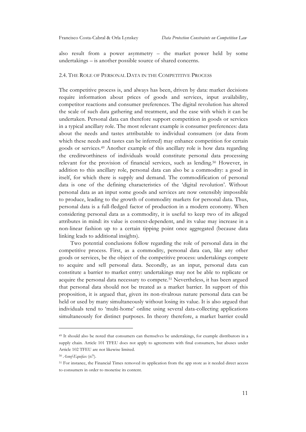also result from a power asymmetry – the market power held by some undertakings – is another possible source of shared concerns.

#### 2.4. THE ROLE OF PERSONAL DATA IN THE COMPETITIVE PROCESS

The competitive process is, and always has been, driven by data: market decisions require information about prices of goods and services, input availability, competitor reactions and consumer preferences. The digital revolution has altered the scale of such data gathering and treatment, and the ease with which it can be undertaken. Personal data can therefore support competition in goods or services in a typical ancillary role. The most relevant example is consumer preferences: data about the needs and tastes attributable to individual consumers (or data from which these needs and tastes can be inferred) may enhance competition for certain goods or services.49 Another example of this ancillary role is how data regarding the creditworthiness of individuals would constitute personal data processing relevant for the provision of financial services, such as lending.50 However, in addition to this ancillary role, personal data can also be a commodity: a good in itself, for which there is supply and demand. The commodification of personal data is one of the defining characteristics of the 'digital revolution'. Without personal data as an input some goods and services are now ostensibly impossible to produce, leading to the growth of commodity markets for personal data. Thus, personal data is a full-fledged factor of production in a modern economy. When considering personal data as a commodity, it is useful to keep two of its alleged attributes in mind: its value is context-dependent, and its value may increase in a non-linear fashion up to a certain tipping point once aggregated (because data linking leads to additional insights).

Two potential conclusions follow regarding the role of personal data in the competitive process. First, as a commodity, personal data can, like any other goods or services, be the object of the competitive process: undertakings compete to acquire and sell personal data. Secondly, as an input, personal data can constitute a barrier to market entry: undertakings may not be able to replicate or acquire the personal data necessary to compete.51 Nevertheless, it has been argued that personal data should not be treated as a market barrier. In support of this proposition, it is argued that, given its non-rivalrous nature personal data can be held or used by many simultaneously without losing its value. It is also argued that individuals tend to 'multi-home' online using several data-collecting applications simultaneously for distinct purposes. In theory therefore, a market barrier could

<sup>49</sup> It should also be noted that consumers can themselves be undertakings, for example distributors in a supply chain. Article 101 TFEU does not apply to agreements with final consumers, but abuses under Article 102 TFEU are not likewise limited.

<sup>50</sup> *Asnef-Equifax* (n7).

<sup>51</sup> For instance, the Financial Times removed its application from the app store as it needed direct access to consumers in order to monetise its content.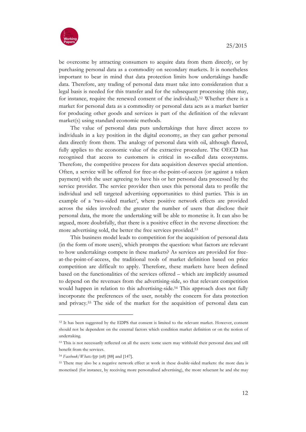

be overcome by attracting consumers to acquire data from them directly, or by purchasing personal data as a commodity on secondary markets. It is nonetheless important to bear in mind that data protection limits how undertakings handle data. Therefore, any trading of personal data must take into consideration that a legal basis is needed for this transfer and for the subsequent processing (this may, for instance, require the renewed consent of the individual).52 Whether there is a market for personal data as a commodity or personal data acts as a market barrier for producing other goods and services is part of the definition of the relevant market(s) using standard economic methods.

The value of personal data puts undertakings that have direct access to individuals in a key position in the digital economy, as they can gather personal data directly from them. The analogy of personal data with oil, although flawed, fully applies to the economic value of the extractive procedure. The OECD has recognised that access to customers is critical in so-called data ecosystems. Therefore, the competitive process for data acquisition deserves special attention. Often, a service will be offered for free-at-the-point-of-access (or against a token payment) with the user agreeing to have his or her personal data processed by the service provider. The service provider then uses this personal data to profile the individual and sell targeted advertising opportunities to third parties. This is an example of a 'two-sided market', where positive network effects are provided across the sides involved: the greater the number of users that disclose their personal data, the more the undertaking will be able to monetise it. It can also be argued, more doubtfully, that there is a positive effect in the reverse direction: the more advertising sold, the better the free services provided.<sup>53</sup>

This business model leads to competition for the acquisition of personal data (in the form of more users), which prompts the question: what factors are relevant to how undertakings compete in these markets? As services are provided for freeat-the-point-of-access, the traditional tools of market definition based on price competition are difficult to apply. Therefore, these markets have been defined based on the functionalities of the services offered – which are implicitly assumed to depend on the revenues from the advertising-side, so that relevant competition would happen in relation to this advertising-side.<sup>54</sup> This approach does not fully incorporate the preferences of the user, notably the concern for data protection and privacy.55 The side of the market for the acquisition of personal data can

<sup>52</sup> It has been suggested by the EDPS that consent is limited to the relevant market. However, consent should not be dependent on the external factors which condition market definition or on the notion of undertaking.

<sup>53</sup> This is not necessarily reflected on all the users: some users may withhold their personal data and still benefit from the services.

<sup>54</sup> *Facebook/WhatsApp* (n8) [88] and [147].

<sup>55</sup> There may also be a negative network effect at work in these double-sided markets: the more data is monetised (for instance, by receiving more personalised advertising), the more reluctant he and she may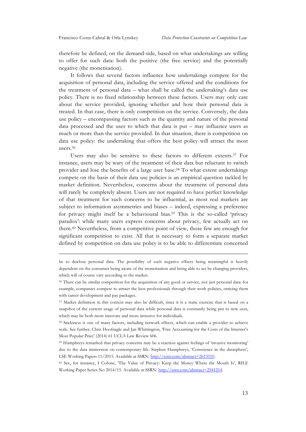**.** 

therefore be defined, on the demand-side, based on what undertakings are willing to offer for such data: both the positive (the free service) and the potentially negative (the monetisation).

It follows that several factors influence how undertakings compete for the acquisition of personal data, including the service offered and the conditions for the treatment of personal data – what shall be called the undertaking's data use policy. There is no fixed relationship between these factors. Users may only care about the service provided, ignoring whether and how their personal data is treated. In that case, there is only competition on the service. Conversely, the data use policy – encompassing factors such as the quantity and nature of the personal data processed and the uses to which that data is put – may influence users as much or more than the service provided. In that situation, there is competition on data use policy: the undertaking that offers the best policy will attract the most users.56

Users may also be sensitive to these factors to different extents.57 For instance, users may be wary of the treatment of their data but reluctant to switch provider and lose the benefits of a large user base.58 To what extent undertakings compete on the basis of their data use policies is an empirical question tackled by market definition. Nevertheless, concerns about the treatment of personal data will rarely be completely absent. Users are not required to have perfect knowledge of that treatment for such concerns to be influential, as most real markets are subject to information asymmetries and biases – indeed, expressing a preference for privacy might itself be a behavioural bias.59 This is the so-called 'privacy paradox': while many users express concerns about privacy, few actually act on them.60 Nevertheless, from a competitive point of view, those few are enough for significant competition to exist. All that is necessary to form a separate market defined by competition on data use policy is to be able to differentiate concerned

be to disclose personal data. The possibility of such negative effects being meaningful is heavily dependent on the consumer being aware of the monetisation and being able to act by changing providers, which will of course vary according to the market.

<sup>56</sup> There can be similar competition for the acquisition of any good or service, not just personal data: for example, companies compete to attract the best professionals through their work policies, enticing them with career development and pay packages.

<sup>57</sup> Market definition in this context may also be difficult, since it is a static exercise that is based on a snapshot of the current usage of personal data while personal data is constantly being put to new uses, which may be both more innovate and more intrusive for individuals.

<sup>58</sup> Stickiness is one of many factors, including network effects, which can enable a provider to achieve scale. See further, Chris Hoofnagle and Jan Whittington, 'Free Accounting for the Costs of the Internet's Most Popular Price' (2014) 61 UCLA Law Review 606.

<sup>59</sup> Humphreys remarked that privacy concerns may be a reaction against feelings of 'invasive monitoring' due to the data immersion on contemporary life. Stephen Humphreys, 'Conscience in the datasphere', LSE Working Papers 11/2015. Available at SSRN: http://ssrn.com/abstract=2613310.

<sup>60</sup> See, for instance, I Cofone, 'The Value of Privacy: Keep the Money Where the Mouth Is', RILE Working Paper Series No 2014/15. Available at SSRN: http://ssrn.com/abstract=2541214.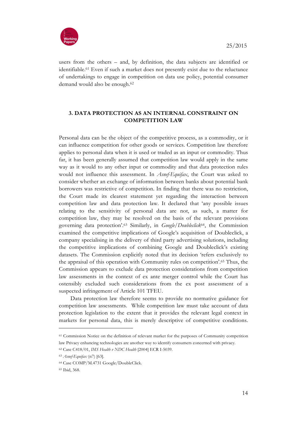

users from the others – and, by definition, the data subjects are identified or identifiable.61 Even if such a market does not presently exist due to the reluctance of undertakings to engage in competition on data use policy, potential consumer demand would also be enough.62

## **3. DATA PROTECTION AS AN INTERNAL CONSTRAINT ON COMPETITION LAW**

Personal data can be the object of the competitive process, as a commodity, or it can influence competition for other goods or services. Competition law therefore applies to personal data when it is used or traded as an input or commodity. Thus far, it has been generally assumed that competition law would apply in the same way as it would to any other input or commodity and that data protection rules would not influence this assessment. In *Asnef-Equifax*, the Court was asked to consider whether an exchange of information between banks about potential bank borrowers was restrictive of competition. In finding that there was no restriction, the Court made its clearest statement yet regarding the interaction between competition law and data protection law. It declared that 'any possible issues relating to the sensitivity of personal data are not, as such, a matter for competition law, they may be resolved on the basis of the relevant provisions governing data protection'.63 Similarly, in *Google/Doubleclick*64, the Commission examined the competitive implications of Google's acquisition of Doubleclick, a company specialising in the delivery of third party advertising solutions, including the competitive implications of combining Google and Doubleclick's existing datasets. The Commission explicitly noted that its decision 'refers exclusively to the appraisal of this operation with Community rules on competition'.65 Thus, the Commission appears to exclude data protection considerations from competition law assessments in the context of ex ante merger control while the Court has ostensibly excluded such considerations from the ex post assessment of a suspected infringement of Article 101 TFEU.

Data protection law therefore seems to provide no normative guidance for competition law assessments. While competition law must take account of data protection legislation to the extent that it provides the relevant legal context in markets for personal data, this is merely descriptive of competitive conditions.

<sup>61</sup> Commission Notice on the definition of relevant market for the purposes of Community competition law Privacy enhancing technologies are another way to identify consumers concerned with privacy.

<sup>62</sup> Case C418/01, *IMS Health v NDC Health* [2004] ECR I-5039.

<sup>63</sup> *Asnef-Equifax* (n7) [63].

<sup>64</sup> Case COMP/M.4731 Google/DoubleClick.

<sup>65</sup> Ibid, 368.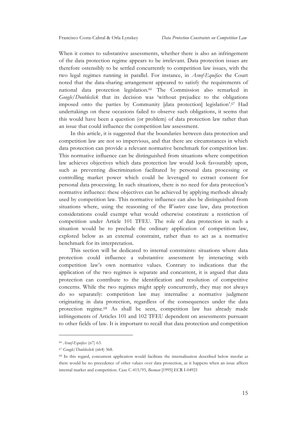When it comes to substantive assessments, whether there is also an infringement of the data protection regime appears to be irrelevant. Data protection issues are therefore ostensibly to be settled concurrently to competition law issues, with the two legal regimes running in parallel. For instance, in *Asnef-Equifax* the Court noted that the data-sharing arrangement appeared to satisfy the requirements of national data protection legislation.66 The Commission also remarked in *Google/Doubleclick* that its decision was 'without prejudice to the obligations imposed onto the parties by Community [data protection] legislation'.67 Had undertakings on these occasions failed to observe such obligations, it seems that this would have been a question (or problem) of data protection law rather than an issue that could influence the competition law assessment.

In this article, it is suggested that the boundaries between data protection and competition law are not so impervious, and that there are circumstances in which data protection can provide a relevant normative benchmark for competition law. This normative influence can be distinguished from situations where competition law achieves objectives which data protection law would look favourably upon, such as preventing discrimination facilitated by personal data processing or controlling market power which could be leveraged to extract consent for personal data processing. In such situations, there is no need for data protection's normative influence: these objectives can be achieved by applying methods already used by competition law. This normative influence can also be distinguished from situations where, using the reasoning of the *Wouters* case law, data protection considerations could exempt what would otherwise constitute a restriction of competition under Article 101 TFEU. The role of data protection in such a situation would be to preclude the ordinary application of competition law, explored below as an external constraint, rather than to act as a normative benchmark for its interpretation.

This section will be dedicated to internal constraints: situations where data protection could influence a substantive assessment by interacting with competition law's own normative values. Contrary to indications that the application of the two regimes is separate and concurrent, it is argued that data protection can contribute to the identification and resolution of competitive concerns. While the two regimes might apply concurrently, they may not always do so separately: competition law may internalise a normative judgment originating in data protection, regardless of the consequences under the data protection regime.68 As shall be seen, competition law has already made infringements of Articles 101 and 102 TFEU dependent on assessments pursuant to other fields of law. It is important to recall that data protection and competition

<sup>66</sup> *Asnef-Equifax* (n7) 63.

<sup>67</sup> *Google/Doubleclick* (n64) 368.

<sup>68</sup> In this regard, concurrent application would facilitate the internalisation described below insofar as there would be no precedence of other values over data protection, as it happens when an issue affects internal market and competition. Case C-415/93, *Bosman* [1995] ECR I-04921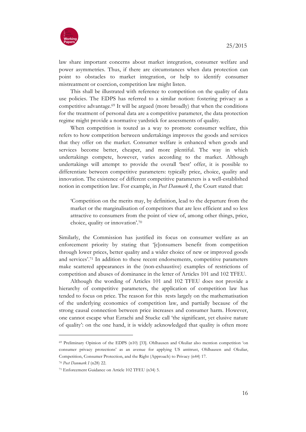

law share important concerns about market integration, consumer welfare and power asymmetries. Thus, if there are circumstances when data protection can point to obstacles to market integration, or help to identify consumer mistreatment or coercion, competition law might listen.

This shall be illustrated with reference to competition on the quality of data use policies. The EDPS has referred to a similar notion: fostering privacy as a competitive advantage.69 It will be argued (more broadly) that when the conditions for the treatment of personal data are a competitive parameter, the data protection regime might provide a normative yardstick for assessments of quality.

When competition is touted as a way to promote consumer welfare, this refers to how competition between undertakings improves the goods and services that they offer on the market. Consumer welfare is enhanced when goods and services become better, cheaper, and more plentiful. The way in which undertakings compete, however, varies according to the market. Although undertakings will attempt to provide the overall 'best' offer, it is possible to differentiate between competitive parameters: typically price, choice, quality and innovation. The existence of different competitive parameters is a well-established notion in competition law. For example, in *Post Danmark I*, the Court stated that:

'Competition on the merits may, by definition, lead to the departure from the market or the marginalisation of competitors that are less efficient and so less attractive to consumers from the point of view of, among other things, price, choice, quality or innovation'.70

Similarly, the Commission has justified its focus on consumer welfare as an enforcement priority by stating that '[c]onsumers benefit from competition through lower prices, better quality and a wider choice of new or improved goods and services'.71 In addition to these recent endorsements, competitive parameters make scattered appearances in the (non-exhaustive) examples of restrictions of competition and abuses of dominance in the letter of Articles 101 and 102 TFEU.

Although the wording of Articles 101 and 102 TFEU does not provide a hierarchy of competitive parameters, the application of competition law has tended to focus on price. The reason for this rests largely on the mathematisation of the underlying economics of competition law, and partially because of the strong causal connection between price increases and consumer harm. However, one cannot escape what Ezrachi and Stucke call 'the significant, yet elusive nature of quality': on the one hand, it is widely acknowledged that quality is often more

<sup>69</sup> Preliminary Opinion of the EDPS (n10) [33]. Ohlhausen and Okuliar also mention competition 'on consumer privacy protections' as an avenue for applying US antitrust, Ohlhausen and Okuliar, Competition, Consumer Protection, and the Right (Approach) to Privacy (n44) 17.

<sup>70</sup> *Post Danmark I* (n28) 22.

<sup>71</sup> Enforcement Guidance on Article 102 TFEU (n34) 5.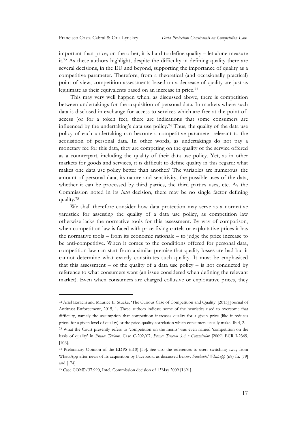important than price; on the other, it is hard to define quality – let alone measure it.72 As these authors highlight, despite the difficulty in defining quality there are several decisions, in the EU and beyond, supporting the importance of quality as a competitive parameter. Therefore, from a theoretical (and occasionally practical) point of view, competition assessments based on a decrease of quality are just as legitimate as their equivalents based on an increase in price.73

This may very well happen when, as discussed above, there is competition between undertakings for the acquisition of personal data. In markets where such data is disclosed in exchange for access to services which are free-at-the-point-ofaccess (or for a token fee), there are indications that some consumers are influenced by the undertaking's data use policy.74 Thus, the quality of the data use policy of each undertaking can become a competitive parameter relevant to the acquisition of personal data. In other words, as undertakings do not pay a monetary fee for this data, they are competing on the quality of the service offered as a counterpart, including the quality of their data use policy. Yet, as in other markets for goods and services, it is difficult to define quality in this regard: what makes one data use policy better than another? The variables are numerous: the amount of personal data, its nature and sensitivity, the possible uses of the data, whether it can be processed by third parties, the third parties uses, etc. As the Commission noted in its *Intel* decision, there may be no single factor defining quality.75

We shall therefore consider how data protection may serve as a normative yardstick for assessing the quality of a data use policy, as competition law otherwise lacks the normative tools for this assessment. By way of comparison, when competition law is faced with price-fixing cartels or exploitative prices it has the normative tools – from its economic rationale – to judge the price increase to be anti-competitive. When it comes to the conditions offered for personal data, competition law can start from a similar premise that quality losses are bad but it cannot determine what exactly constitutes such quality. It must be emphasised that this assessment – of the quality of a data use policy – is not conducted by reference to what consumers want (an issue considered when defining the relevant market). Even when consumers are charged collusive or exploitative prices, they

<sup>72</sup> Ariel Ezrachi and Maurice E. Stucke, 'The Curious Case of Competition and Quality' [2015] Journal of Antitrust Enforcement, 2015, 1. These authors indicate some of the heuristics used to overcome that difficulty, namely the assumption that competition increases quality for a given price (like it reduces prices for a given level of quality) or the price-quality correlation which consumers usually make. Ibid, 2. <sup>73</sup> What the Court presently refers to 'competition on the merits' was even named 'competition on the basis of quality' in *France Télécom*. Case C-202/07, *France Telecom SA v Commission* [2009] ECR I-2369, [106].

<sup>74</sup> Preliminary Opinion of the EDPS (n10) [33]. See also the references to users switching away from WhatsApp after news of its acquisition by Facebook, as discussed below. *Facebook/Whatsapp* (n8) fn. [79] and [174]

<sup>75</sup> Case COMP/37.990, Intel, Commission decision of 13May 2009 [1691].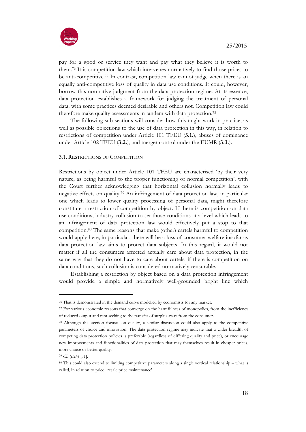

pay for a good or service they want and pay what they believe it is worth to them.76 It is competition law which intervenes normatively to find those prices to be anti-competitive.<sup>77</sup> In contrast, competition law cannot judge when there is an equally anti-competitive loss of quality in data use conditions. It could, however, borrow this normative judgment from the data protection regime. At its essence, data protection establishes a framework for judging the treatment of personal data, with some practices deemed desirable and others not. Competition law could therefore make quality assessments in tandem with data protection.78

The following sub-sections will consider how this might work in practice, as well as possible objections to the use of data protection in this way, in relation to restrictions of competition under Article 101 TFEU (**3.1.**), abuses of dominance under Article 102 TFEU (**3.2.**), and merger control under the EUMR (**3.3.**).

#### 3.1. RESTRICTIONS OF COMPETITION

Restrictions by object under Article 101 TFEU are characterised 'by their very nature, as being harmful to the proper functioning of normal competition', with the Court further acknowledging that horizontal collusion normally leads to negative effects on quality.79 An infringement of data protection law, in particular one which leads to lower quality processing of personal data, might therefore constitute a restriction of competition by object. If there is competition on data use conditions, industry collusion to set those conditions at a level which leads to an infringement of data protection law would effectively put a stop to that competition.80 The same reasons that make (other) cartels harmful to competition would apply here; in particular, there will be a loss of consumer welfare insofar as data protection law aims to protect data subjects. In this regard, it would not matter if all the consumers affected actually care about data protection, in the same way that they do not have to care about cartels: if there is competition on data conditions, such collusion is considered normatively censurable.

Establishing a restriction by object based on a data protection infringement would provide a simple and normatively well-grounded bright line which

<sup>76</sup> That is demonstrated in the demand curve modelled by economists for any market.

<sup>77</sup> For various economic reasons that converge on the harmfulness of monopolies, from the inefficiency of reduced output and rent seeking to the transfer of surplus away from the consumer.

<sup>78</sup> Although this section focuses on quality, a similar discussion could also apply to the competitive parameters of choice and innovation. The data protection regime may indicate that a wider breadth of competing data protection policies is preferable (regardless of differing quality and price), or encourage new improvements and functionalities of data protection that may themselves result in cheaper prices, more choice or better quality.

<sup>79</sup> *CB* (n24) [51].

<sup>80</sup> This could also extend to limiting competitive parameters along a single vertical relationship – what is called, in relation to price, 'resale price maintenance'.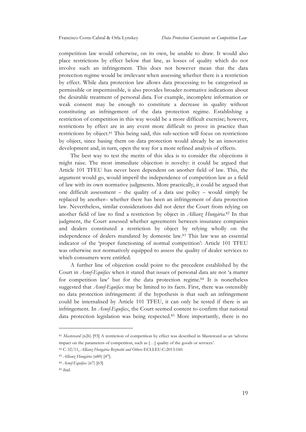competition law would otherwise, on its own, be unable to draw. It would also place restrictions by effect below that line, as losses of quality which do not involve such an infringement. This does not however mean that the data protection regime would be irrelevant when assessing whether there is a restriction by effect. While data protection law allows data processing to be categorised as permissible or impermissible, it also provides broader normative indications about the desirable treatment of personal data. For example, incomplete information or weak consent may be enough to constitute a decrease in quality without constituting an infringement of the data protection regime. Establishing a restriction of competition in this way would be a more difficult exercise; however, restrictions by effect are in any event more difficult to prove in practice than restrictions by object.81 This being said, this sub-section will focus on restrictions by object, since basing them on data protection would already be an innovative development and, in turn, open the way for a more refined analysis of effects.

The best way to test the merits of this idea is to consider the objections it might raise. The most immediate objection is novelty: it could be argued that Article 101 TFEU has never been dependent on another field of law. This, the argument would go, would imperil the independence of competition law as a field of law with its own normative judgments. More practically, it could be argued that one difficult assessment – the quality of a data use policy – would simply be replaced by another– whether there has been an infringement of data protection law. Nevertheless, similar considerations did not deter the Court from relying on another field of law to find a restriction by object in *Allianz Hungária*.82 In that judgment, the Court assessed whether agreements between insurance companies and dealers constituted a restriction by object by relying wholly on the independence of dealers mandated by domestic law.83 This law was an essential indicator of the 'proper functioning of normal competition': Article 101 TFEU was otherwise not normatively equipped to assess the quality of dealer services to which consumers were entitled.

A further line of objection could point to the precedent established by the Court in *Asnef-Equifax* when it stated that issues of personal data are not 'a matter for competition law' but for the data protection regime.84 It is nonetheless suggested that *Asnef-Equifax* may be limited to its facts. First, there was ostensibly no data protection infringement: if the hypothesis is that such an infringement could be internalised by Article 101 TFEU, it can only be tested if there is an infringement. In *Asnef-Equifax*, the Court seemed content to confirm that national data protection legislation was being respected.85 More importantly, there is no

<sup>81</sup> *Mastercard* (n26) [93] A restriction of competition by effect was described in Mastercard as an 'adverse impact on the parameters of competition, such as […] quality of the goods or services'.

<sup>82</sup> C-32/11, *Allianz Hungária Biztosító and Others* ECLI:EU:C:2013:160.

<sup>83</sup> *Allianz Hungária* (n80) [47].

<sup>84</sup> *Asnef-Equifax* (n7) [63]

<sup>85</sup> ibid.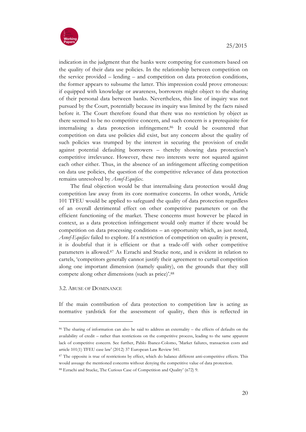

indication in the judgment that the banks were competing for customers based on the quality of their data use policies. In the relationship between competition on the service provided – lending – and competition on data protection conditions, the former appears to subsume the latter. This impression could prove erroneous: if equipped with knowledge or awareness, borrowers might object to the sharing of their personal data between banks. Nevertheless, this line of inquiry was not pursued by the Court, potentially because its inquiry was limited by the facts raised before it. The Court therefore found that there was no restriction by object as there seemed to be no competitive concern, and such concern is a prerequisite for internalising a data protection infringement.86 It could be countered that competition on data use policies did exist, but any concern about the quality of such policies was trumped by the interest in securing the provision of credit against potential defaulting borrowers – thereby showing data protection's competitive irrelevance. However, these two interests were not squared against each other either. Thus, in the absence of an infringement affecting competition on data use policies, the question of the competitive relevance of data protection remains unresolved by *Asnef-Equifax*.

The final objection would be that internalising data protection would drag competition law away from its core normative concerns. In other words, Article 101 TFEU would be applied to safeguard the quality of data protection regardless of an overall detrimental effect on other competitive parameters or on the efficient functioning of the market. These concerns must however be placed in context, as a data protection infringement would only matter if there would be competition on data processing conditions – an opportunity which, as just noted, *Asnef-Equifax* failed to explore. If a restriction of competition on quality is present, it is doubtful that it is efficient or that a trade-off with other competitive parameters is allowed.87 As Ezrachi and Stucke note, and is evident in relation to cartels, 'competitors generally cannot justify their agreement to curtail competition along one important dimension (namely quality), on the grounds that they still compete along other dimensions (such as price)'.88

3.2. ABUSE OF DOMINANCE

**.** 

If the main contribution of data protection to competition law is acting as normative yardstick for the assessment of quality, then this is reflected in

<sup>86</sup> The sharing of information can also be said to address an externality – the effects of defaults on the availability of credit – rather than restrictions on the competitive process, leading to the same apparent lack of competitive concern. See further, Pablo Ibanez-Colomo, 'Market failures, transaction costs and article 101(1) TFEU case law' (2012) 37 European Law Review 541.

<sup>87</sup> The opposite is true of restrictions by effect, which do balance different anti-competitive effects. This would assuage the mentioned concerns without denying the competitive value of data protection. <sup>88</sup> Ezrachi and Stucke, The Curious Case of Competition and Quality' (n72) 9.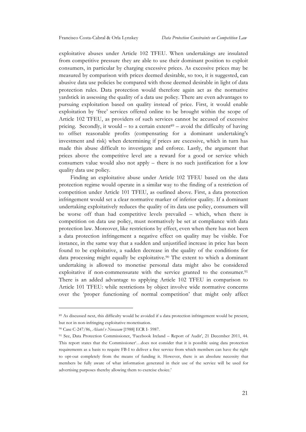exploitative abuses under Article 102 TFEU. When undertakings are insulated from competitive pressure they are able to use their dominant position to exploit consumers, in particular by charging excessive prices. As excessive prices may be measured by comparison with prices deemed desirable, so too, it is suggested, can abusive data use policies be compared with those deemed desirable in light of data protection rules. Data protection would therefore again act as the normative yardstick in assessing the quality of a data use policy. There are even advantages to pursuing exploitation based on quality instead of price. First, it would enable exploitation by 'free' services offered online to be brought within the scope of Article 102 TFEU, as providers of such services cannot be accused of excessive pricing. Secondly, it would  $-$  to a certain extent<sup>89</sup> – avoid the difficulty of having to offset reasonable profits (compensating for a dominant undertaking's investment and risk) when determining if prices are excessive, which in turn has made this abuse difficult to investigate and enforce. Lastly, the argument that prices above the competitive level are a reward for a good or service which consumers value would also not apply – there is no such justification for a low quality data use policy.

Finding an exploitative abuse under Article 102 TFEU based on the data protection regime would operate in a similar way to the finding of a restriction of competition under Article 101 TFEU, as outlined above. First, a data protection infringement would set a clear normative marker of inferior quality. If a dominant undertaking exploitatively reduces the quality of its data use policy, consumers will be worse off than had competitive levels prevailed – which, when there is competition on data use policy, must normatively be set at compliance with data protection law. Moreover, like restrictions by effect, even when there has not been a data protection infringement a negative effect on quality may be visible. For instance, in the same way that a sudden and unjustified increase in price has been found to be exploitative, a sudden decrease in the quality of the conditions for data processing might equally be exploitative.<sup>90</sup> The extent to which a dominant undertaking is allowed to monetise personal data might also be considered exploitative if non-commensurate with the service granted to the consumer.<sup>91</sup> There is an added advantage to applying Article 102 TFEU in comparison to Article 101 TFEU: while restrictions by object involve wide normative concerns over the 'proper functioning of normal competition' that might only affect

<sup>89</sup> As discussed next, this difficulty would be avoided if a data protection infringement would be present, but not in non-infringing exploitative monetisation.

<sup>90</sup> Case C-247/86, *Alsatel v Novasam* [1988] ECR I- 5987.

<sup>91</sup> See, Data Protection Commissioner, 'Facebook Ireland – Report of Audit', 21 December 2011, 44. This report states that the Commissioner'…does not consider that it is possible using data protection requirements as a basis to require FB-I to deliver a free service from which members can have the right to opt-out completely from the means of funding it. However, there is an absolute necessity that members be fully aware of what information generated in their use of the service will be used for advertising purposes thereby allowing them to exercise choice.'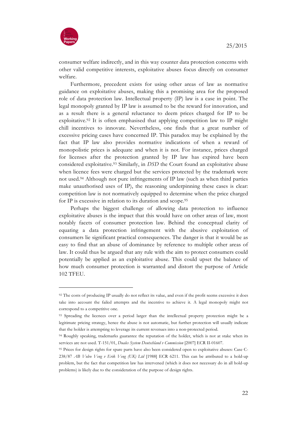

**.** 

consumer welfare indirectly, and in this way counter data protection concerns with other valid competitive interests, exploitative abuses focus directly on consumer welfare.

Furthermore, precedent exists for using other areas of law as normative guidance on exploitative abuses, making this a promising area for the proposed role of data protection law. Intellectual property (IP) law is a case in point. The legal monopoly granted by IP law is assumed to be the reward for innovation, and as a result there is a general reluctance to deem prices charged for IP to be exploitative.<sup>92</sup> It is often emphasised that applying competition law to IP might chill incentives to innovate. Nevertheless, one finds that a great number of excessive pricing cases have concerned IP. This paradox may be explained by the fact that IP law also provides normative indications of when a reward of monopolistic prices is adequate and when it is not. For instance, prices charged for licenses after the protection granted by IP law has expired have been considered exploitative.93 Similarly, in *DSD* the Court found an exploitative abuse when licence fees were charged but the services protected by the trademark were not used.94 Although not pure infringements of IP law (such as when third parties make unauthorised uses of IP), the reasoning underpinning these cases is clear: competition law is not normatively equipped to determine when the price charged for IP is excessive in relation to its duration and scope.95

Perhaps the biggest challenge of allowing data protection to influence exploitative abuses is the impact that this would have on other areas of law, most notably facets of consumer protection law. Behind the conceptual clarity of equating a data protection infringement with the abusive exploitation of consumers lie significant practical consequences. The danger is that it would be as easy to find that an abuse of dominance by reference to multiple other areas of law. It could thus be argued that any rule with the aim to protect consumers could potentially be applied as an exploitative abuse. This could upset the balance of how much consumer protection is warranted and distort the purpose of Article 102 TFEU.

<sup>92</sup> The costs of producing IP usually do not reflect its value, and even if the profit seems excessive it does take into account the failed attempts and the incentive to achieve it. A legal monopoly might not correspond to a competitive one.

<sup>93</sup> Spreading the licences over a period larger than the intellectual property protection might be a legitimate pricing strategy, hence the abuse is not automatic, but further protection will usually indicate that the holder is attempting to leverage its current revenues into a non-protected period.

<sup>94</sup> Roughly speaking, trademarks guarantee the reputation of the holder, which is not at stake when its services are not used. T-151/01, *Duales System Deutschland v Commission* [2007] ECR II-01607.

<sup>95</sup> Prices for design rights for spare parts have also been considered open to exploitative abuses: Case C-238/87 *AB Volvo Veng v Erik Veng (UK) Ltd* [1988] ECR 6211. This can be attributed to a hold-up problem, but the fact that competition law has intervened (which it does not necessary do in all hold-up problems) is likely due to the consideration of the purpose of design rights.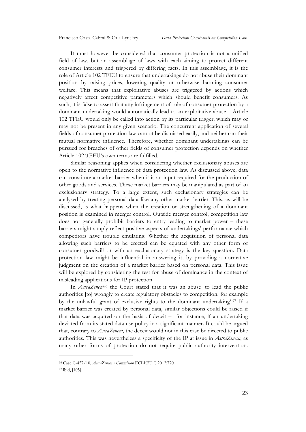It must however be considered that consumer protection is not a unified field of law, but an assemblage of laws with each aiming to protect different consumer interests and triggered by differing facts. In this assemblage, it is the role of Article 102 TFEU to ensure that undertakings do not abuse their dominant position by raising prices, lowering quality or otherwise harming consumer welfare. This means that exploitative abuses are triggered by actions which negatively affect competitive parameters which should benefit consumers. As such, it is false to assert that any infringement of rule of consumer protection by a dominant undertaking would automatically lead to an exploitative abuse – Article 102 TFEU would only be called into action by its particular trigger, which may or may not be present in any given scenario. The concurrent application of several fields of consumer protection law cannot be dismissed easily, and neither can their mutual normative influence. Therefore, whether dominant undertakings can be pursued for breaches of other fields of consumer protection depends on whether Article 102 TFEU's own terms are fulfilled.

Similar reasoning applies when considering whether exclusionary abuses are open to the normative influence of data protection law. As discussed above, data can constitute a market barrier when it is an input required for the production of other goods and services. These market barriers may be manipulated as part of an exclusionary strategy. To a large extent, such exclusionary strategies can be analysed by treating personal data like any other market barrier. This, as will be discussed, is what happens when the creation or strengthening of a dominant position is examined in merger control. Outside merger control, competition law does not generally prohibit barriers to entry leading to market power – these barriers might simply reflect positive aspects of undertakings' performance which competitors have trouble emulating. Whether the acquisition of personal data allowing such barriers to be erected can be equated with any other form of consumer goodwill or with an exclusionary strategy is the key question. Data protection law might be influential in answering it, by providing a normative judgment on the creation of a market barrier based on personal data. This issue will be explored by considering the test for abuse of dominance in the context of misleading applications for IP protection.

In *AstraZeneca*<sup>96</sup> the Court stated that it was an abuse 'to lead the public authorities [to] wrongly to create regulatory obstacles to competition, for example by the unlawful grant of exclusive rights to the dominant undertaking'.97 If a market barrier was created by personal data, similar objections could be raised if that data was acquired on the basis of deceit – for instance, if an undertaking deviated from its stated data use policy in a significant manner. It could be argued that, contrary to *AstraZeneca*, the deceit would not in this case be directed to public authorities. This was nevertheless a specificity of the IP at issue in *AstraZeneca*, as many other forms of protection do not require public authority intervention.

<sup>96</sup> Case C-457/10, *AstraZeneca v Commisson* ECLI:EU:C:2012:770.

<sup>97</sup> ibid, [105].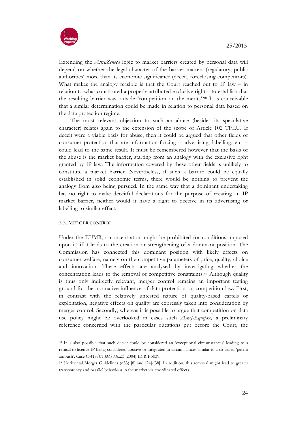

Extending the *AstraZeneca* logic to market barriers created by personal data will depend on whether the legal character of the barrier matters (regulatory, public authorities) more than its economic significance (deceit, foreclosing competitors). What makes the analogy feasible is that the Court reached out to IP law – in relation to what constituted a properly attributed exclusive right – to establish that the resulting barrier was outside 'competition on the merits'.98 It is conceivable that a similar determination could be made in relation to personal data based on the data protection regime.

The most relevant objection to such an abuse (besides its speculative character) relates again to the extension of the scope of Article 102 TFEU. If deceit were a viable basis for abuse, then it could be argued that other fields of consumer protection that are information-forcing – advertising, labelling, etc. – could lead to the same result. It must be remembered however that the basis of the abuse is the market barrier, starting from an analogy with the exclusive right granted by IP law. The information covered by these other fields is unlikely to constitute a market barrier. Nevertheless, if such a barrier could be equally established in solid economic terms, there would be nothing to prevent the analogy from also being pursued. In the same way that a dominant undertaking has no right to make deceitful declarations for the purpose of creating an IP market barrier, neither would it have a right to deceive in its advertising or labelling to similar effect.

### 3.3. MERGER CONTROL

**.** 

Under the EUMR, a concentration might be prohibited (or conditions imposed upon it) if it leads to the creation or strengthening of a dominant position. The Commission has connected this dominant position with likely effects on consumer welfare, namely on the competitive parameters of price, quality, choice and innovation. These effects are analysed by investigating whether the concentration leads to the removal of competitive constraints.99 Although quality is thus only indirectly relevant, merger control remains an important testing ground for the normative influence of data protection on competition law. First, in contrast with the relatively untested nature of quality-based cartels or exploitation, negative effects on quality are expressly taken into consideration by merger control. Secondly, whereas it is possible to argue that competition on data use policy might be overlooked in cases such *Asnef-Equifax,* a preliminary reference concerned with the particular questions put before the Court, the

<sup>98</sup> It is also possible that such deceit could be considered an 'exceptional circumstances' leading to a refusal to licence IP being considered abusive or integrated in circumstances similar to a so-called 'patent ambush'. Case C-418/01 *IMS Health* [2004] ECR I-5039.

<sup>99</sup> Horizontal Merger Guidelines (n33) [8] and [24]-[38]. In addition, this removal might lead to greater transparency and parallel behaviour in the market via coordinated effects.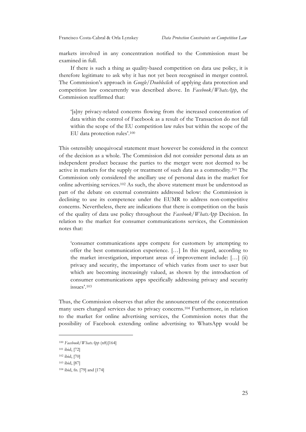markets involved in any concentration notified to the Commission must be examined in full.

If there is such a thing as quality-based competition on data use policy, it is therefore legitimate to ask why it has not yet been recognised in merger control. The Commission's approach in *Google/Doubleclick* of applying data protection and competition law concurrently was described above. In *Facebook/WhatsApp*, the Commission reaffirmed that:

'[a]ny privacy-related concerns flowing from the increased concentration of data within the control of Facebook as a result of the Transaction do not fall within the scope of the EU competition law rules but within the scope of the EU data protection rules'.100

This ostensibly unequivocal statement must however be considered in the context of the decision as a whole. The Commission did not consider personal data as an independent product because the parties to the merger were not deemed to be active in markets for the supply or treatment of such data as a commodity.101 The Commission only considered the ancillary use of personal data in the market for online advertising services.102 As such, the above statement must be understood as part of the debate on external constraints addressed below: the Commission is declining to use its competence under the EUMR to address non-competitive concerns. Nevertheless, there are indications that there is competition on the basis of the quality of data use policy throughout the *Facebook/WhatsApp* Decision. In relation to the market for consumer communications services, the Commission notes that:

'consumer communications apps compete for customers by attempting to offer the best communication experience. […] In this regard, according to the market investigation, important areas of improvement include: […] (ii) privacy and security, the importance of which varies from user to user but which are becoming increasingly valued, as shown by the introduction of consumer communications apps specifically addressing privacy and security issues'.103

Thus, the Commission observes that after the announcement of the concentration many users changed services due to privacy concerns.104 Furthermore, in relation to the market for online advertising services, the Commission notes that the possibility of Facebook extending online advertising to WhatsApp would be

<sup>100</sup> *Facebook/WhatsApp* (n8)[164]

<sup>101</sup> ibid, [72]

<sup>102</sup> ibid, [70]

<sup>103</sup> ibid, [87]

<sup>104</sup> ibid, fn. [79] and [174]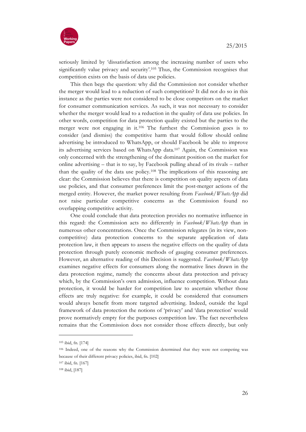

seriously limited by 'dissatisfaction among the increasing number of users who significantly value privacy and security'.105 Thus, the Commission recognises that competition exists on the basis of data use policies.

This then begs the question: why did the Commission not consider whether the merger would lead to a reduction of such competition? It did not do so in this instance as the parties were not considered to be close competitors on the market for consumer communication services. As such, it was not necessary to consider whether the merger would lead to a reduction in the quality of data use policies. In other words, competition for data protection quality existed but the parties to the merger were not engaging in it.106 The furthest the Commission goes is to consider (and dismiss) the competitive harm that would follow should online advertising be introduced to WhatsApp, or should Facebook be able to improve its advertising services based on WhatsApp data.107 Again, the Commission was only concerned with the strengthening of the dominant position on the market for online advertising – that is to say, by Facebook pulling ahead of its rivals – rather than the quality of the data use policy.108 The implications of this reasoning are clear: the Commission believes that there is competition on quality aspects of data use policies, and that consumer preferences limit the post-merger actions of the merged entity. However, the market power resulting from *Facebook/WhatsApp* did not raise particular competitive concerns as the Commission found no overlapping competitive activity.

One could conclude that data protection provides no normative influence in this regard: the Commission acts no differently in *Facebook/WhatsApp* than in numerous other concentrations. Once the Commission relegates (in its view, noncompetitive) data protection concerns to the separate application of data protection law, it then appears to assess the negative effects on the quality of data protection through purely economic methods of gauging consumer preferences. However, an alternative reading of this Decision is suggested. *Facebook/WhatsApp* examines negative effects for consumers along the normative lines drawn in the data protection regime, namely the concerns about data protection and privacy which, by the Commission's own admission, influence competition. Without data protection, it would be harder for competition law to ascertain whether those effects are truly negative: for example, it could be considered that consumers would always benefit from more targeted advertising. Indeed, outside the legal framework of data protection the notions of 'privacy' and 'data protection' would prove normatively empty for the purposes competition law. The fact nevertheless remains that the Commission does not consider those effects directly, but only

<sup>105</sup> ibid, fn. [174]

<sup>106</sup> Indeed, one of the reasons why the Commission determined that they were not competing was because of their different privacy policies, ibid, fn. [102]

<sup>107</sup> ibid, fn. [167]

<sup>108</sup> ibid, [187]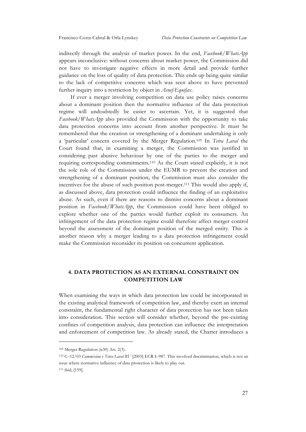indirectly through the analysis of market power. In the end, *Facebook/WhatsApp* appears inconclusive: without concerns about market power, the Commission did not have to investigate negative effects in more detail and provide further guidance on the loss of quality of data protection. This ends up being quite similar to the lack of competitive concerns which was seen above to have prevented further inquiry into a restriction by object in *Asnef-Equifax*.

If ever a merger involving competition on data use policy raises concerns about a dominant position then the normative influence of the data protection regime will undoubtedly be easier to ascertain. Yet, it is suggested that *Facebook/WhatsApp* also provided the Commission with the opportunity to take data protection concerns into account from another perspective. It must be remembered that the creation or strengthening of a dominant undertaking is only a 'particular' concern covered by the Merger Regulation.109 In *Tetra Laval* the Court found that, in examining a merger, the Commission was justified in considering past abusive behaviour by one of the parties to the merger and requiring corresponding commitments.110 As the Court stated explicitly, it is not the sole role of the Commission under the EUMR to prevent the creation and strengthening of a dominant position; the Commission must also consider the incentives for the abuse of such position post-merger.111 This would also apply if, as discussed above, data protection could influence the finding of an exploitative abuse. As such, even if there are reasons to dismiss concerns about a dominant position in *Facebook/WhatsApp*, the Commission could have been obliged to explore whether one of the parties would further exploit its consumers. An infringement of the data protection regime could therefore affect merger control beyond the assessment of the dominant position of the merged entity. This is another reason why a merger leading to a data protection infringement could make the Commission reconsider its position on concurrent application.

# **4. DATA PROTECTION AS AN EXTERNAL CONSTRAINT ON COMPETITION LAW**

When examining the ways in which data protection law could be incorporated in the existing analytical framework of competition law, and thereby exert an internal constraint, the fundamental right character of data protection has not been taken into consideration. This section will consider whether, beyond the pre-existing confines of competition analysis, data protection can influence the interpretation and enforcement of competition law. As already stated, the Charter introduces a

<sup>109</sup> Merger Regulation (n30) Art. 2(3).

<sup>110</sup> C–12/03 *Commission v Tetra Laval BV* [2005] ECR I–987. This involved discrimination, which is not an issue where normative influence of data protection is likely to play out. <sup>111</sup> ibid, [159].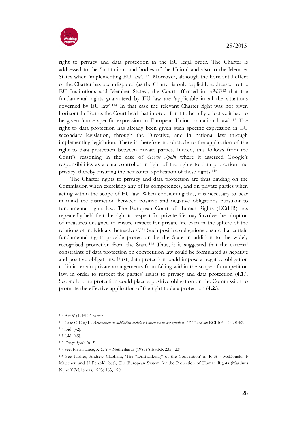

right to privacy and data protection in the EU legal order. The Charter is addressed to the 'institutions and bodies of the Union' and also to the Member States when 'implementing EU law'.112 Moreover, although the horizontal effect of the Charter has been disputed (as the Charter is only explicitly addressed to the EU Institutions and Member States), the Court affirmed in *AMS*<sup>113</sup> that the fundamental rights guaranteed by EU law are 'applicable in all the situations governed by EU law'.114 In that case the relevant Charter right was not given horizontal effect as the Court held that in order for it to be fully effective it had to be given 'more specific expression in European Union or national law'.115 The right to data protection has already been given such specific expression in EU secondary legislation, through the Directive, and in national law through implementing legislation. There is therefore no obstacle to the application of the right to data protection between private parties. Indeed, this follows from the Court's reasoning in the case of *Google Spain* where it assessed Google's responsibilities as a data controller in light of the rights to data protection and privacy, thereby ensuring the horizontal application of these rights.116

The Charter rights to privacy and data protection are thus binding on the Commission when exercising any of its competences, and on private parties when acting within the scope of EU law. When considering this, it is necessary to bear in mind the distinction between positive and negative obligations pursuant to fundamental rights law. The European Court of Human Rights (ECtHR) has repeatedly held that the right to respect for private life may 'involve the adoption of measures designed to ensure respect for private life even in the sphere of the relations of individuals themselves'.117 Such positive obligations ensure that certain fundamental rights provide protection by the State in addition to the widely recognised protection from the State.118 Thus, it is suggested that the external constraints of data protection on competition law could be formulated as negative and positive obligations. First, data protection could impose a negative obligation to limit certain private arrangements from falling within the scope of competition law, in order to respect the parties' rights to privacy and data protection (**4.1.**). Secondly, data protection could place a positive obligation on the Commission to promote the effective application of the right to data protection (**4.2.**).

<sup>112</sup> Art 51(1) EU Charter.

<sup>113</sup> Case C-176/12 *Association de médiation sociale v Union locale des syndicats CGT and ors* ECLI:EU:C:2014:2. <sup>114</sup> ibid, [42].

<sup>115</sup> ibid, [45].

<sup>116</sup> *Google Spain* (n13).

<sup>117</sup> See, for instance, X & Y v Netherlands (1985) 8 EHRR 235, [23].

<sup>118</sup> See further, Andrew Clapham, 'The "Drittwirkung" of the Convention' in R St J McDonald, F Matscher, and H Petzold (eds), The European System for the Protection of Human Rights (Martinus Nijhoff Publishers, 1993) 163, 190.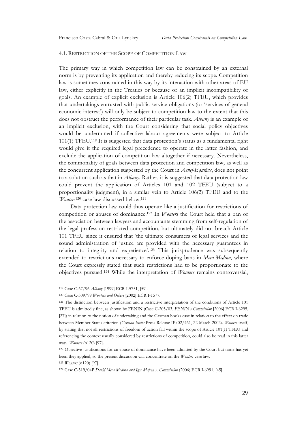#### 4.1. RESTRICTION OF THE SCOPE OF COMPETITION LAW

The primary way in which competition law can be constrained by an external norm is by preventing its application and thereby reducing its scope. Competition law is sometimes constrained in this way by its interaction with other areas of EU law, either explicitly in the Treaties or because of an implicit incompatibility of goals. An example of explicit exclusion is Article 106(2) TFEU, which provides that undertakings entrusted with public service obligations (or 'services of general economic interest') will only be subject to competition law to the extent that this does not obstruct the performance of their particular task. *Albany* is an example of an implicit exclusion, with the Court considering that social policy objectives would be undermined if collective labour agreements were subject to Article 101(1) TFEU.119 It is suggested that data protection's status as a fundamental right would give it the required legal precedence to operate in the latter fashion, and exclude the application of competition law altogether if necessary. Nevertheless, the commonality of goals between data protection and competition law, as well as the concurrent application suggested by the Court in *Asnef-Equifax*, does not point to a solution such as that in *Albany*. Rather, it is suggested that data protection law could prevent the application of Articles 101 and 102 TFEU (subject to a proportionality judgment), in a similar vein to Article 106(2) TFEU and to the *Wouters*<sup>120</sup> case law discussed below.121

Data protection law could thus operate like a justification for restrictions of competition or abuses of dominance.122 In *Wouters* the Court held that a ban of the association between lawyers and accountants stemming from self-regulation of the legal profession restricted competition, but ultimately did not breach Article 101 TFEU since it ensured that 'the ultimate consumers of legal services and the sound administration of justice are provided with the necessary guarantees in relation to integrity and experience'.123 This jurisprudence was subsequently extended to restrictions necessary to enforce doping bans in *Meca-Medina*, where the Court expressly stated that such restrictions had to be proportionate to the objectives pursued.124 While the interpretation of *Wouters* remains controversial,

-

<sup>119</sup> Case C-67/96 *Albany* [1999] ECR I-5751, [59].

<sup>120</sup> Case C-309/99 *Wouters and Others* [2002] ECR I-1577.

<sup>121</sup> The distinction between justification and a restrictive interpretation of the conditions of Article 101 TFEU is admittedly fine, as shown by FENIN (Case C-205/03, *FENIN v Commission* [2006] ECR I-6295, [27]) in relation to the notion of undertaking and the German books case in relation to the effect on trade between Member States criterion (*German books* Press Release IP/02/461, 22 March 2002). *Wouters* itself, by stating that not all restrictions of freedom of action fall within the scope of Article 101(1) TFEU and referencing the context usually considered by restrictions of competition, could also be read in this latter way. *Wouters* (n120) [97].

<sup>122</sup> Objective justifications for an abuse of dominance have been admitted by the Court but none has yet been they applied, so the present discussion will concentrate on the *Wouters* case law.

<sup>123</sup> *Wouters* (n120) [97].

<sup>124</sup> Case C-519/04P *David Meca Medina and Igor Majcen v. Commission* (2006) ECR I-6991, [45].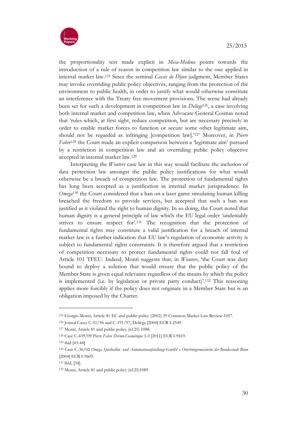

the proportionality test made explicit in *Meca-Medina* points towards the introduction of a rule of reason in competition law similar to the one applied in internal market law.125 Since the seminal *Cassis de Dijon* judgment, Member States may invoke overriding public policy objectives, ranging from the protection of the environment to public health, in order to justify what would otherwise constitute an interference with the Treaty free movement provisions. The scene had already been set for such a development in competition law in *Deliege*126, a case involving both internal market and competition law, when Advocate General Cosmas noted that 'rules which, at first sight, reduce competition, but are necessary precisely in order to enable market forces to function or secure some other legitimate aim, should not be regarded as infringing [competition law].'127 Moreover, in *Pierre Fabre*<sup>128</sup> the Court made an explicit comparison between a 'legitimate aim' pursued by a restriction in competition law and an overriding public policy objective accepted in internal market law.129

Interpreting the *Wouters* case law in this way would facilitate the inclusion of data protection law amongst the public policy justifications for what would otherwise be a breach of competition law. The protection of fundamental rights has long been accepted as a justification in internal market jurisprudence. In *Omega*<sup>130</sup> the Court considered that a ban on a laser game simulating human killing breached the freedom to provide services, but accepted that such a ban was justified as it violated the right to human dignity. In so doing, the Court noted that human dignity is a general principle of law which the EU legal order 'undeniably strives to ensure respect for'.131 The recognition that the protection of fundamental rights may constitute a valid justification for a breach of internal market law is a further indication that EU law's regulation of economic activity is subject to fundamental rights constraints. It is therefore argued that a restriction of competition necessary to protect fundamental rights could not fall foul of Article 101 TFEU. Indeed, Monti suggests that, in *Wouters*, 'the Court was duty bound to deploy a solution that would ensure that the public policy of the Member State is given equal relevance regardless of the means by which the policy is implemented (i.e. by legislation or private party conduct)'.<sup>132</sup> This reasoning applies more forcibly if the policy does not originate in a Member State but is an obligation imposed by the Charter.

<sup>125</sup> Giorgio Monti, Article 81 EC and public policy (2002) 39 Common Market Law Review 1057.

<sup>126</sup> Joined Cases C-51/96 and C-191/97, Deliège [2000] ECR I-2549.

<sup>127</sup> Monti, Article 81 and public policy (n125) 1088.

<sup>128</sup> Case C-439/09 *Pierre Fabre Dermo-Cosmétique SA* [2011] ECR I-9419.

<sup>129</sup> ibid [43-44]

<sup>130</sup> Case C-36/02 *Omega Spielhallen- und Automatenaufstellungs-GmbH v Oberbürgermeisterin der Bundesstadt Bonn*  [2004] ECR I-9609.

<sup>131</sup> ibid, [34].

<sup>132</sup> Monti, Article 81 and public policy (n125)1089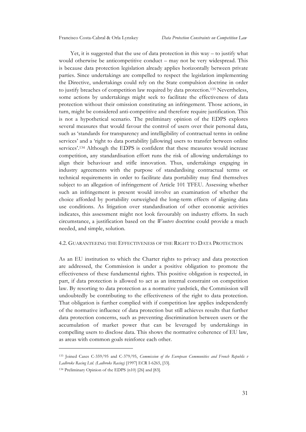Yet, it is suggested that the use of data protection in this way – to justify what would otherwise be anticompetitive conduct – may not be very widespread. This is because data protection legislation already applies horizontally between private parties. Since undertakings are compelled to respect the legislation implementing the Directive, undertakings could rely on the State compulsion doctrine in order to justify breaches of competition law required by data protection.133 Nevertheless, some actions by undertakings might seek to facilitate the effectiveness of data protection without their omission constituting an infringement. Those actions, in turn, might be considered anti-competitive and therefore require justification. This is not a hypothetical scenario. The preliminary opinion of the EDPS explores several measures that would favour the control of users over their personal data, such as 'standards for transparency and intelligibility of contractual terms in online services' and a 'right to data portability [allowing] users to transfer between online services'.134 Although the EDPS is confident that these measures would increase competition, any standardisation effort runs the risk of allowing undertakings to align their behaviour and stifle innovation. Thus, undertakings engaging in industry agreements with the purpose of standardising contractual terms or technical requirements in order to facilitate data portability may find themselves subject to an allegation of infringement of Article 101 TFEU. Assessing whether such an infringement is present would involve an examination of whether the choice afforded by portability outweighed the long-term effects of aligning data use conditions. As litigation over standardisation of other economic activities indicates, this assessment might not look favourably on industry efforts. In such circumstance, a justification based on the *Wouters* doctrine could provide a much needed, and simple, solution.

#### 4.2. GUARANTEEING THE EFFECTIVENESS OF THE RIGHT TO DATA PROTECTION

As an EU institution to which the Charter rights to privacy and data protection are addressed, the Commission is under a positive obligation to promote the effectiveness of these fundamental rights. This positive obligation is respected, in part, if data protection is allowed to act as an internal constraint on competition law. By resorting to data protection as a normative yardstick, the Commission will undoubtedly be contributing to the effectiveness of the right to data protection. That obligation is further complied with if competition law applies independently of the normative influence of data protection but still achieves results that further data protection concerns, such as preventing discrimination between users or the accumulation of market power that can be leveraged by undertakings in compelling users to disclose data. This shows the normative coherence of EU law, as areas with common goals reinforce each other.

<sup>133</sup> Joined Cases C-359/95 and C-379/95, *Commission of the European Communities and French Republic v Ladbroke Racing Ltd. (Ladbroke Racing)* [1997] ECR I-6265, [33].

<sup>134</sup> Preliminary Opinion of the EDPS (n10) [26] and [83].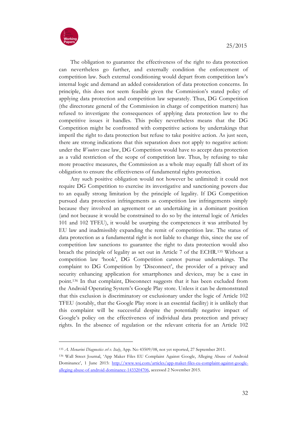



**.** 

The obligation to guarantee the effectiveness of the right to data protection can nevertheless go further, and externally condition the enforcement of competition law. Such external conditioning would depart from competition law's internal logic and demand an added consideration of data protection concerns. In principle, this does not seem feasible given the Commission's stated policy of applying data protection and competition law separately. Thus, DG Competition (the directorate general of the Commission in charge of competition matters) has refused to investigate the consequences of applying data protection law to the competitive issues it handles. This policy nevertheless means that the DG Competition might be confronted with competitive actions by undertakings that imperil the right to data protection but refuse to take positive action. As just seen, there are strong indications that this separation does not apply to negative action: under the *Wouters* case law, DG Competition would have to accept data protection as a valid restriction of the scope of competition law. Thus, by refusing to take more proactive measures, the Commission as a whole may equally fall short of its obligation to ensure the effectiveness of fundamental rights protection.

Any such positive obligation would not however be unlimited: it could not require DG Competition to exercise its investigative and sanctioning powers due to an equally strong limitation by the principle of legality. If DG Competition pursued data protection infringements as competition law infringements simply because they involved an agreement or an undertaking in a dominant position (and not because it would be constrained to do so by the internal logic of Articles 101 and 102 TFEU), it would be usurping the competences it was attributed by EU law and inadmissibly expanding the remit of competition law. The status of data protection as a fundamental right is not liable to change this, since the use of competition law sanctions to guarantee the right to data protection would also breach the principle of legality as set out in Article 7 of the ECHR.135 Without a competition law 'hook', DG Competition cannot pursue undertakings. The complaint to DG Competition by 'Disconnect', the provider of a privacy and security enhancing application for smartphones and devices, may be a case in point.136 In that complaint, Disconnect suggests that it has been excluded from the Android Operating System's Google Play store. Unless it can be demonstrated that this exclusion is discriminatory or exclusionary under the logic of Article 102 TFEU (notably, that the Google Play store is an essential facility) it is unlikely that this complaint will be successful despite the potentially negative impact of Google's policy on the effectiveness of individual data protection and privacy rights. In the absence of regulation or the relevant criteria for an Article 102

<sup>135</sup> *A. Menarini Diagnostics srl v. Italy*, App. No 43509/08, not yet reported, 27 September 2011.

<sup>136</sup> Wall Street Journal, 'App Maker Files EU Complaint Against Google, Alleging Abuse of Android Dominance', 1 June 2015: http://www.wsj.com/articles/app-maker-files-eu-complaint-against-googlealleging-abuse-of-android-dominance-1433204706, accessed 2 November 2015.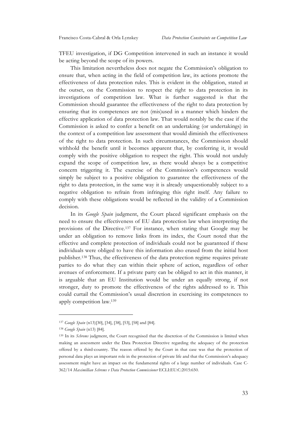TFEU investigation, if DG Competition intervened in such an instance it would be acting beyond the scope of its powers.

This limitation nevertheless does not negate the Commission's obligation to ensure that, when acting in the field of competition law, its actions promote the effectiveness of data protection rules. This is evident in the obligation, stated at the outset, on the Commission to respect the right to data protection in its investigations of competition law. What is further suggested is that the Commission should guarantee the effectiveness of the right to data protection by ensuring that its competences are not (mis)used in a manner which hinders the effective application of data protection law. That would notably be the case if the Commission is asked to confer a benefit on an undertaking (or undertakings) in the context of a competition law assessment that would diminish the effectiveness of the right to data protection. In such circumstances, the Commission should withhold the benefit until it becomes apparent that, by conferring it, it would comply with the positive obligation to respect the right. This would not unduly expand the scope of competition law, as there would always be a competitive concern triggering it. The exercise of the Commission's competences would simply be subject to a positive obligation to guarantee the effectiveness of the right to data protection, in the same way it is already unquestionably subject to a negative obligation to refrain from infringing this right itself. Any failure to comply with these obligations would be reflected in the validity of a Commission decision.

In its *Google Spain* judgment, the Court placed significant emphasis on the need to ensure the effectiveness of EU data protection law when interpreting the provisions of the Directive.137 For instance, when stating that Google may be under an obligation to remove links from its index, the Court noted that the effective and complete protection of individuals could not be guaranteed if these individuals were obliged to have this information also erased from the initial host publisher.138 Thus, the effectiveness of the data protection regime requires private parties to do what they can within their sphere of action, regardless of other avenues of enforcement. If a private party can be obliged to act in this manner, it is arguable that an EU Institution would be under an equally strong, if not stronger, duty to promote the effectiveness of the rights addressed to it. This could curtail the Commission's usual discretion in exercising its competences to apply competition law.139

<sup>137</sup> *Google Spain* (n13)[30], [34], [38], [53], [58] and [84].

<sup>138</sup> *Google Spain* (n13) [84].

<sup>&</sup>lt;sup>139</sup> In its *Schrems* judgment, the Court recognised that the discretion of the Commission is limited when making an assessment under the Data Protection Directive regarding the adequacy of the protection offered by a third-country. The reason offered by the Court in that case was that the protection of personal data plays an important role in the protection of private life and that the Commission's adequacy assessment might have an impact on the fundamental rights of a large number of individuals. Case C-362/14 *Maximillian Schrems v Data Protection Commissioner* ECLI:EU:C:2015:650.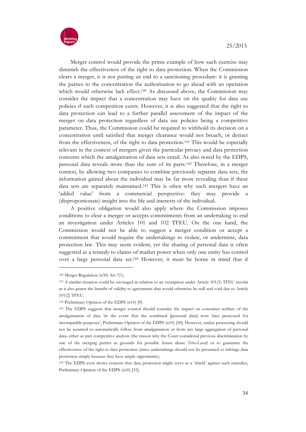

Merger control would provide the prime example of how such exercise may diminish the effectiveness of the right to data protection. When the Commission clears a merger, it is not putting an end to a sanctioning procedure: it is granting the parties to the concentration the authorisation to go ahead with an operation which would otherwise lack effect.<sup>140</sup> As discussed above, the Commission may consider the impact that a concentration may have on the quality for data use policies if such competition exists. However, it is also suggested that the right to data protection can lead to a further parallel assessment of the impact of the merger on data protection regardless of data use policies being a competitive parameter. Thus, the Commission could be required to withhold its decision on a concentration until satisfied that merger clearance would not breach, or detract from the effectiveness, of the right to data protection.141 This would be especially relevant in the context of mergers given the particular privacy and data protection concerns which the amalgamation of data sets entail. As also noted by the EDPS, personal data reveals more than the sum of its parts.142 Therefore, in a merger context, by allowing two companies to combine previously separate data sets, the information gained about the individual may be far more revealing than if these data sets are separately maintained.143 This is often why such mergers have an 'added value' from a commercial perspective: they may provide a (disproportionate) insight into the life and interests of the individual.

A positive obligation would also apply where the Commission imposes conditions to clear a merger or accepts commitments from an undertaking to end an investigation under Articles 101 and 102 TFEU. On the one hand, the Commission would not be able to suggest a merger condition or accept a commitment that would require the undertakings to violate, or undermine, data protection law. This may seem evident, yet the sharing of personal data is often suggested as a remedy to claims of market power when only one entity has control over a large personal data set.144 However, it must be borne in mind that if

<sup>140</sup> Merger Regulation (n30) Art 7(1).

<sup>141</sup> A similar situation could be envisaged in relation to an exemption under Article 101(3) TFEU insofar as it also grants the benefit of validity to agreements that would otherwise be null and void due to Article 101(2) TFEU.

<sup>142</sup> Preliminary Opinion of the EDPS (n10) [9].

<sup>143</sup> The EDPS suggests that merger control should consider the impact on consumer welfare of the amalgamation of data 'in the event that the combined [personal data] were later processed for incompatible purposes', Preliminary Opinion of the EDPS (n10) [30]. However, undue processing should not be assumed to automatically follow from amalgamation or from any large aggregation of personal data, either as part competitive analysis (the reason why the Court considered previous discrimination by one of the merging parties as grounds for possible future abuse *Tetra-Laval*) or to guarantee the effectiveness of the right to data protection (since undertakings should not be presumed to infringe data protection simply because they have ample opportunity).

<sup>144</sup> The EDPS even shows concern that data protection might serve as a 'shield' against such remedies, Preliminary Opinion of the EDPS (n10) [31].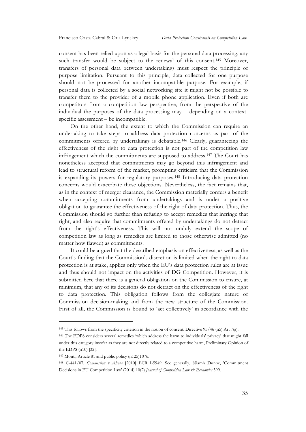consent has been relied upon as a legal basis for the personal data processing, any such transfer would be subject to the renewal of this consent.145 Moreover, transfers of personal data between undertakings must respect the principle of purpose limitation. Pursuant to this principle, data collected for one purpose should not be processed for another incompatible purpose. For example, if personal data is collected by a social networking site it might not be possible to transfer them to the provider of a mobile phone application. Even if both are competitors from a competition law perspective, from the perspective of the individual the purposes of the data processing may – depending on a contextspecific assessment – be incompatible.

On the other hand, the extent to which the Commission can require an undertaking to take steps to address data protection concerns as part of the commitments offered by undertakings is debatable.146 Clearly, guaranteeing the effectiveness of the right to data protection is not part of the competition law infringement which the commitments are supposed to address.147 The Court has nonetheless accepted that commitments may go beyond this infringement and lead to structural reform of the market, prompting criticism that the Commission is expanding its powers for regulatory purposes.148 Introducing data protection concerns would exacerbate these objections. Nevertheless, the fact remains that, as in the context of merger clearance, the Commission materially confers a benefit when accepting commitments from undertakings and is under a positive obligation to guarantee the effectiveness of the right of data protection. Thus, the Commission should go further than refusing to accept remedies that infringe that right, and also require that commitments offered by undertakings do not detract from the right's effectiveness. This will not unduly extend the scope of competition law as long as remedies are limited to those otherwise admitted (no matter how flawed) as commitments.

It could be argued that the described emphasis on effectiveness, as well as the Court's finding that the Commission's discretion is limited when the right to data protection is at stake, applies only when the EU's data protection rules are at issue and thus should not impact on the activities of DG Competition. However, it is submitted here that there is a general obligation on the Commission to ensure, at minimum, that any of its decisions do not detract on the effectiveness of the right to data protection. This obligation follows from the collegiate nature of Commission decision-making and from the new structure of the Commission. First of all, the Commission is bound to 'act collectively' in accordance with the

<sup>145</sup> This follows from the specificity criterion in the notion of consent. Directive 95/46 (n5) Art 7(a).

<sup>146</sup> The EDPS considers several remedies 'which address the harm to individuals' privacy' that might fall under this category insofar as they are not directly related to a competitive harm, Preliminary Opinion of the EDPS (n10) [32].

<sup>147</sup> Monti, Article 81 and public policy (n125)1076.

<sup>148</sup> C-441/07, *Commission v Alrosa* [2010] ECR I-5949. See generally, Niamh Dunne, 'Commitment Decisions in EU Competition Law' (2014) 10(2) *Journal of Competition Law & Economics* 399.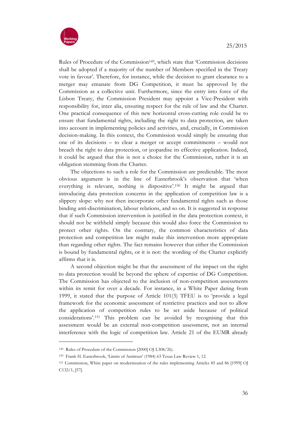

Rules of Procedure of the Commission<sup>149</sup>, which state that 'Commission decisions shall be adopted if a majority of the number of Members specified in the Treaty vote in favour'. Therefore, for instance, while the decision to grant clearance to a merger may emanate from DG Competition, it must be approved by the Commission as a collective unit. Furthermore, since the entry into force of the Lisbon Treaty, the Commission President may appoint a Vice-President with responsibility for, inter alia, ensuring respect for the rule of law and the Charter. One practical consequence of this new horizontal cross-cutting role could be to ensure that fundamental rights, including the right to data protection, are taken into account in implementing policies and activities, and, crucially, in Commission decision-making. In this context, the Commission would simply be ensuring that one of its decisions – to clear a merger or accept commitments – would not breach the right to data protection, or jeopardise its effective application. Indeed, it could be argued that this is not a choice for the Commission, rather it is an obligation stemming from the Charter.

The objections to such a role for the Commission are predictable. The most obvious argument is in the line of Easterbrook's observation that 'when everything is relevant, nothing is dispositive'.150 It might be argued that introducing data protection concerns in the application of competition law is a slippery slope: why not then incorporate other fundamental rights such as those binding anti-discrimination, labour relations, and so on. It is suggested in response that if such Commission intervention is justified in the data protection context, it should not be withheld simply because this would also force the Commission to protect other rights. On the contrary, the common characteristics of data protection and competition law might make this intervention more appropriate than regarding other rights. The fact remains however that either the Commission is bound by fundamental rights, or it is not: the wording of the Charter explicitly affirms that it is.

A second objection might be that the assessment of the impact on the right to data protection would be beyond the sphere of expertise of DG Competition. The Commission has objected to the inclusion of non-competition assessments within its remit for over a decade. For instance, in a White Paper dating from 1999, it stated that the purpose of Article 101(3) TFEU is to 'provide a legal framework for the economic assessment of restrictive practices and not to allow the application of competition rules to be set aside because of political considerations'.151 This problem can be avoided by recognising that this assessment would be an external non-competition assessment, not an internal interference with the logic of competition law. Article 21 of the EUMR already

<sup>149</sup> Rules of Procedure of the Commission [2000] OJ L308/26).

<sup>150</sup> Frank H. Easterbrook, 'Limits of Antitrust' (1984) 63 Texas Law Review 1, 12.

<sup>151</sup> Commission, White paper on modernization of the rules implementing Articles 85 and 86 [1999] OJ C132/1, [57].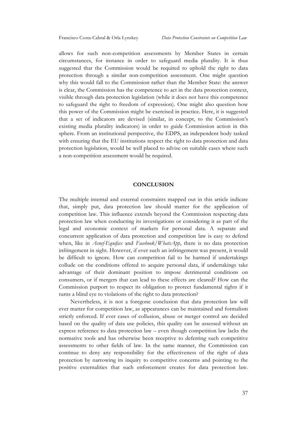allows for such non-competition assessments by Member States in certain circumstances, for instance in order to safeguard media plurality. It is thus suggested that the Commission would be required to uphold the right to data protection through a similar non-competition assessment. One might question why this would fall to the Commission rather than the Member State: the answer is clear, the Commission has the competence to act in the data protection context, visible through data protection legislation (while it does not have this competence to safeguard the right to freedom of expression). One might also question how this power of the Commission might be exercised in practice. Here, it is suggested that a set of indicators are devised (similar, in concept, to the Commission's existing media plurality indicators) in order to guide Commission action in this sphere. From an institutional perspective, the EDPS, an independent body tasked with ensuring that the EU institutions respect the right to data protection and data protection legislation, would be well placed to advise on suitable cases where such a non-competition assessment would be required.

#### **CONCLUSION**

The multiple internal and external constraints mapped out in this article indicate that, simply put, data protection law should matter for the application of competition law. This influence extends beyond the Commission respecting data protection law when conducting its investigations or considering it as part of the legal and economic context of markets for personal data. A separate and concurrent application of data protection and competition law is easy to defend when, like in *Asnef-Equifax* and *Facebook/WhatsApp*, there is no data protection infringement in sight. However, if ever such an infringement was present, it would be difficult to ignore. How can competition fail to be harmed if undertakings collude on the conditions offered to acquire personal data, if undertakings take advantage of their dominant position to impose detrimental conditions on consumers, or if mergers that can lead to these effects are cleared? How can the Commission purport to respect its obligation to protect fundamental rights if it turns a blind eye to violations of the right to data protection?

Nevertheless, it is not a foregone conclusion that data protection law will ever matter for competition law, as appearances can be maintained and formalism strictly enforced. If ever cases of collusion, abuse or merger control are decided based on the quality of data use policies, this quality can be assessed without an express reference to data protection law – even though competition law lacks the normative tools and has otherwise been receptive to deferring such competitive assessments to other fields of law. In the same manner, the Commission can continue to deny any responsibility for the effectiveness of the right of data protection by narrowing its inquiry to competitive concerns and pointing to the positive externalities that such enforcement creates for data protection law.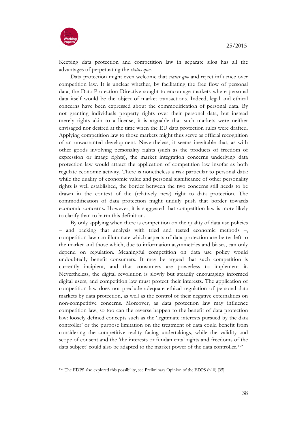

**.** 

Keeping data protection and competition law in separate silos has all the advantages of perpetuating the *status quo*.

Data protection might even welcome that *status quo* and reject influence over competition law. It is unclear whether, by facilitating the free flow of personal data, the Data Protection Directive sought to encourage markets where personal data itself would be the object of market transactions. Indeed, legal and ethical concerns have been expressed about the commodification of personal data. By not granting individuals property rights over their personal data, but instead merely rights akin to a license, it is arguable that such markets were neither envisaged nor desired at the time when the EU data protection rules were drafted. Applying competition law to those markets might thus serve as official recognition of an unwarranted development. Nevertheless, it seems inevitable that, as with other goods involving personality rights (such as the products of freedom of expression or image rights), the market integration concerns underlying data protection law would attract the application of competition law insofar as both regulate economic activity. There is nonetheless a risk particular to personal data: while the duality of economic value and personal significance of other personality rights is well established, the border between the two concerns still needs to be drawn in the context of the (relatively new) right to data protection. The commodification of data protection might unduly push that border towards economic concerns. However, it is suggested that competition law is more likely to clarify than to harm this definition.

By only applying when there is competition on the quality of data use policies – and backing that analysis with tried and tested economic methods –, competition law can illuminate which aspects of data protection are better left to the market and those which, due to information asymmetries and biases, can only depend on regulation. Meaningful competition on data use policy would undoubtedly benefit consumers. It may be argued that such competition is currently incipient, and that consumers are powerless to implement it. Nevertheless, the digital revolution is slowly but steadily encouraging informed digital users, and competition law must protect their interests. The application of competition law does not preclude adequate ethical regulation of personal data markets by data protection, as well as the control of their negative externalities on non-competitive concerns. Moreover, as data protection law may influence competition law, so too can the reverse happen to the benefit of data protection law: loosely defined concepts such as the 'legitimate interests pursued by the data controller' or the purpose limitation on the treatment of data could benefit from considering the competitive reality facing undertakings, while the validity and scope of consent and the 'the interests or fundamental rights and freedoms of the data subject' could also be adapted to the market power of the data controller.152

<sup>152</sup> The EDPS also explored this possibility, see Preliminary Opinion of the EDPS (n10) [35].